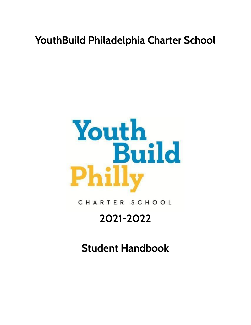# **YouthBuild Philadelphia Charter School**



CHARTER SCHOOL

# **2021-2022**

**Student Handbook**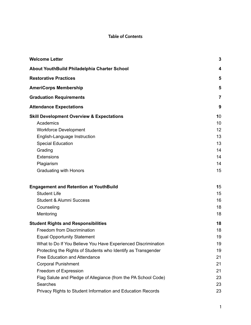# **Table of Contents**

| <b>Welcome Letter</b>                                          | 3              |
|----------------------------------------------------------------|----------------|
| About YouthBuild Philadelphia Charter School                   | 4              |
| <b>Restorative Practices</b>                                   | 5              |
| <b>AmeriCorps Membership</b>                                   | 5              |
| <b>Graduation Requirements</b>                                 | $\overline{7}$ |
| <b>Attendance Expectations</b>                                 | 9              |
| <b>Skill Development Overview &amp; Expectations</b>           | 10             |
| Academics                                                      | 10             |
| <b>Workforce Development</b>                                   | 12             |
| English-Language Instruction                                   | 13             |
| <b>Special Education</b>                                       | 13             |
| Grading                                                        | 14             |
| Extensions                                                     | 14             |
| Plagiarism                                                     | 14             |
| <b>Graduating with Honors</b>                                  | 15             |
| <b>Engagement and Retention at YouthBuild</b>                  | 15             |
| <b>Student Life</b>                                            | 15             |
| <b>Student &amp; Alumni Success</b>                            | 16             |
| Counseling                                                     | 18             |
| Mentoring                                                      | 18             |
| <b>Student Rights and Responsibilities</b>                     | 18             |
| Freedom from Discrimination                                    | 18             |
| <b>Equal Opportunity Statement</b>                             | 19             |
| What to Do If You Believe You Have Experienced Discrimination  | 19             |
| Protecting the Rights of Students who Identify as Transgender  | 19             |
| <b>Free Education and Attendance</b>                           | 21             |
| <b>Corporal Punishment</b>                                     | 21             |
| Freedom of Expression                                          | 21             |
| Flag Salute and Pledge of Allegiance (from the PA School Code) | 23             |
| Searches                                                       | 23             |
| Privacy Rights to Student Information and Education Records    | 23             |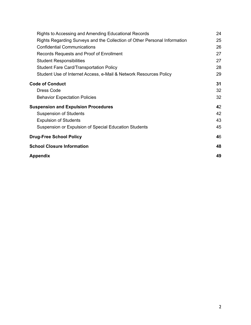| Rights to Accessing and Amending Educational Records                      | 24 |
|---------------------------------------------------------------------------|----|
| Rights Regarding Surveys and the Collection of Other Personal Information | 25 |
| <b>Confidential Communications</b>                                        | 26 |
| Records Requests and Proof of Enrollment                                  | 27 |
| <b>Student Responsibilities</b>                                           | 27 |
| <b>Student Fare Card/Transportation Policy</b>                            | 28 |
| Student Use of Internet Access, e-Mail & Network Resources Policy         | 29 |
| <b>Code of Conduct</b>                                                    | 31 |
| <b>Dress Code</b>                                                         | 32 |
| <b>Behavior Expectation Policies</b>                                      | 32 |
| <b>Suspension and Expulsion Procedures</b>                                | 42 |
| <b>Suspension of Students</b>                                             | 42 |
| <b>Expulsion of Students</b>                                              | 43 |
| Suspension or Expulsion of Special Education Students                     | 45 |
| <b>Drug-Free School Policy</b>                                            | 46 |
| <b>School Closure Information</b>                                         | 48 |
| Appendix                                                                  | 49 |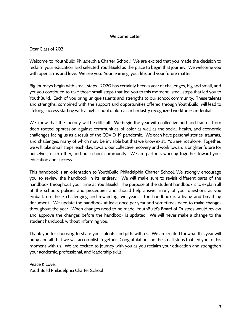#### **Welcome Letter**

<span id="page-3-0"></span>Dear Class of 2021,

Welcome to YouthBuild Philadelphia Charter School! We are excited that you made the decision to reclaim your education and selected YouthBuild as the place to begin that journey. We welcome you with open arms and love. We see you. Your learning, your life, and your future matter.

Big journeys begin with small steps. 2020 has certainly been a year of challenges, big and small, and yet you continued to take those small steps that led you to this moment.. small steps that led you to YouthBuild. Each of you bring unique talents and strengths to our school community. These talents and strengths, combined with the support and opportunities offered through YouthBuild, will lead to lifelong success starting with a high school diploma and industry recognized workforce credential.

We know that the journey will be difficult. We begin the year with collective hurt and trauma from deep rooted oppression against communities of color as well as the social, health, and economic challenges facing us as a result of the COVID-19 pandemic. We each have personal stories, traumas, and challenges, many of which may be invisible but that we know exist. You are not alone. Together, we will take small steps, each day, toward our collective recovery and work toward a brighter future for ourselves, each other, and our school community. We are partners working together toward your education and success.

This handbook is an orientation to YouthBuild Philadelphia Charter School. We strongly encourage you to review the handbook in its entirety. We will make sure to revisit different parts of the handbook throughout your time at YouthBuild. The purpose of the student handbook is to explain all of the school's policies and procedures and should help answer many of your questions as you embark on these challenging and rewarding two years. The handbook is a living and breathing document. We update the handbook at least once per year and sometimes need to make changes throughout the year. When changes need to be made, YouthBuild's Board of Trustees would review and approve the changes before the handbook is updated. We will never make a change to the student handbook without informing you.

Thank you for choosing to share your talents and gifts with us. We are excited for what this year will bring and all that we will accomplish together. Congratulations on the small steps that led you to this moment with us. We are excited to journey with you as you reclaim your education and strengthen your academic, professional, and leadership skills.

Peace & Love, YouthBuild Philadelphia Charter School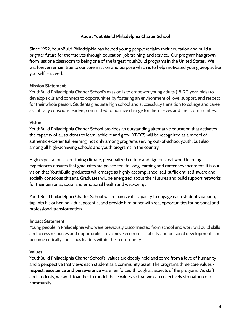# **About YouthBuild Philadelphia Charter School**

<span id="page-4-0"></span>Since 1992, YouthBuild Philadelphia has helped young people reclaim their education and build a brighter future for themselves through education, job training, and service. Our program has grown from just one classroom to being one of the largest YouthBuild programs in the United States. We will forever remain true to our core mission and purpose which is to help motivated young people, like yourself, succeed.

## **Mission Statement**

YouthBuild Philadelphia Charter School's mission is to empower young adults (18-20 year-olds) to develop skills and connect to opportunities by fostering an environment of love, support, and respect for their whole person. Students graduate high school and successfully transition to college and career as critically conscious leaders, committed to positive change for themselves and their communities.

## **Vision**

YouthBuild Philadelphia Charter School provides an outstanding alternative education that activates the capacity of all students to learn, achieve and grow. YBPCS will be recognized as a model of authentic experiential learning, not only among programs serving out-of-school youth, but also among all high-achieving schools and youth programs in the country.

High expectations, a nurturing climate, personalized culture and rigorous real world learning experiences ensures that graduates are poised for life-long learning and career advancement. It is our vision that YouthBuild graduates will emerge as highly accomplished, self-sufficient, self-aware and socially conscious citizens. Graduates will be energized about their futures and build support networks for their personal, social and emotional health and well-being.

YouthBuild Philadelphia Charter School will maximize its capacity to engage each student's passion, tap into his or her individual potential and provide him or her with real opportunities for personal and professional transformation.

## **Impact Statement**

Young people in Philadelphia who were previously disconnected from school and work will build skills and access resources and opportunities to achieve economic stability and personal development, and become critically conscious leaders within their community

## **Values**

YouthBuild Philadelphia Charter School's values are deeply held and come from a love of humanity and a perspective that views each student as a community asset. The programs three core values **respect**, **excellence and perseverance** – are reinforced through all aspects of the program. As staff and students, we work together to model these values so that we can collectively strengthen our community.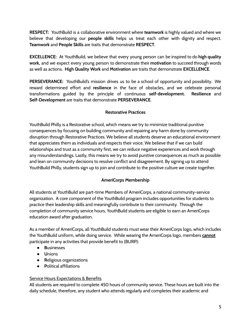**RESPECT:** YouthBuild is a collaborative environment where **teamwork** is highly valued and where we believe that developing our **people skills** helps us treat each other with dignity and respect. **Teamwork** and **People Skills** are traits that demonstrate **RESPECT**.

**EXCELLENCE:** At YouthBuild, we believe that every young person can be inspired to do **high quality work,** and we expect every young person to demonstrate their **motivation** to succeed through words as well as actions. **High Quality Work** and **Motivation** are traits that demonstrate **EXCELLENCE**.

**PERSEVERANCE:** YouthBuild's mission drives us to be a school of opportunity and possibility. We reward determined effort and **resilience** in the face of obstacles, and we celebrate personal transformations guided by the principle of continuous **self-development. Resilience** and **Self-Development** are traits that demonstrate **PERSEVERANCE**.

# **Restorative Practices**

<span id="page-5-0"></span>YouthBuild Philly is a Restorative school, which means we try to minimize traditional punitive consequences by focusing on building community and repairing any harm done by community disruption through Restorative Practices. We believe all students deserve an educational environment that appreciates them as individuals and respects their voice. We believe that if we can build relationships and trust as a community first, we can reduce negative experiences and work through any misunderstandings. Lastly, this means we try to avoid punitive consequences as much as possible and lean on community decisions to resolve conflict and disagreement. By signing up to attend YouthBuild Philly, students sign up to join and contribute to the positive culture we create together.

# **AmeriCorps Membership**

<span id="page-5-1"></span>All students at YouthBuild are part-time Members of AmeriCorps, a national community-service organization. A core component of the YouthBuild program includes opportunities for students to practice their leadership skills and meaningfully contribute to their community. Through the completion of community service hours, YouthBuild students are eligible to earn an AmeriCorps education award after graduation.

As a member of AmeriCorps, all YouthBuild students must wear their AmeriCorps logo, which includes the YouthBuild uniform, while doing service. While wearing the AmeriCorps logo, members **cannot** participate in any activities that provide benefit to (BURP):

- **B**usinesses
- **U**nions
- **R**eligious organizations
- **P**olitical affiliations

# **Service Hours Expectations & Benefits**

All students are required to complete 450 hours of community service. These hours are built into the daily schedule, therefore, any student who attends regularly and completes their academic and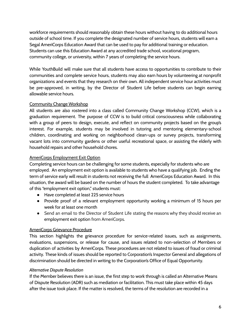workforce requirements should reasonably obtain these hours without having to do additional hours outside of school time. If you complete the designated number of service hours, students will earn a Segal AmeriCorps Education Award that can be used to pay for additional training or education. Students can use this Education Award at any accredited trade school, vocational program, community college, or university, within 7 years of completing the service hours.

While YouthBuild will make sure that all students have access to opportunities to contribute to their communities and complete service hours, students may also earn hours by volunteering at nonprofit organizations and events that they research on their own. All independent service hour activities must be pre-approved, in writing, by the Director of Student Life before students can begin earning allowable service hours.

# Community Change Workshop

All students are also rostered into a class called Community Change Workshop (CCW), which is a graduation requirement. The purpose of CCW is to build critical consciousness while collaborating with a group of peers to design, execute, and reflect on community projects based on the group's interest. For example, students may be involved in tutoring and mentoring elementary-school children, coordinating and working on neighborhood clean-ups or survey projects, transforming vacant lots into community gardens or other useful recreational space, or assisting the elderly with household repairs and other household chores.

# AmeriCorps Employment Exit Option

Completing service hours can be challenging for some students, especially for students who are employed. An employment exit option is available to students who have a qualifying job. Ending the term of service early will result in students not receiving the full AmeriCorps Education Award. In this situation, the award will be based on the number of hours the student completed. To take advantage of this "employment exit option," students must:

- Have completed at least 225 service hours
- Provide proof of a relevant employment opportunity working a minimum of 15 hours per week for at least one month
- Send an email to the Director of Student Life stating the reasons why they should receive an employment exit option from AmeriCorps.

# AmeriCorps Grievance Procedure

This section highlights the grievance procedure for service-related issues, such as assignments, evaluations, suspensions, or release for cause, and issues related to non-selection of Members or duplication of activities by AmeriCorps. These procedures are not related to issues of fraud or criminal activity. These kinds of issues should be reported to Corporation's Inspector General and allegations of discrimination should be directed in writing to the Corporation's Office of Equal Opportunity.

# *Alternative Dispute Resolution*

If the Member believes there is an issue, the first step to work through is called an Alternative Means of Dispute Resolution (ADR) such as mediation or facilitation. This must take place within 45 days after the issue took place. If the matter is resolved, the terms of the resolution are recorded in a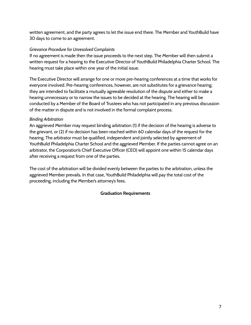written agreement, and the party agrees to let the issue end there. The Member and YouthBuild have 30 days to come to an agreement.

# *Grievance Procedure for Unresolved Complaints*

If no agreement is made then the issue proceeds to the next step. The Member will then submit a written request for a hearing to the Executive Director of YouthBuild Philadelphia Charter School. The hearing must take place within one year of the initial issue.

The Executive Director will arrange for one or more pre-hearing conferences at a time that works for everyone involved. Pre-hearing conferences, however, are not substitutes for a grievance hearing; they are intended to facilitate a mutually agreeable resolution of the dispute and either to make a hearing unnecessary or to narrow the issues to be decided at the hearing. The hearing will be conducted by a Member of the Board of Trustees who has not participated in any previous discussion of the matter in dispute and is not involved in the formal complaint process.

# *Binding Arbitration*

An aggrieved Member may request binding arbitration (1) if the decision of the hearing is adverse to the grievant, or (2) if no decision has been reached within 60 calendar days of the request for the hearing. The arbitrator must be qualified, independent and jointly selected by agreement of YouthBuild Philadelphia Charter School and the aggrieved Member. If the parties cannot agree on an arbitrator, the Corporation's Chief Executive Officer (CEO) will appoint one within 15 calendar days after receiving a request from one of the parties.

<span id="page-7-0"></span>The cost of the arbitration will be divided evenly between the parties to the arbitration, unless the aggrieved Member prevails. In that case, YouthBuild Philadelphia will pay the total cost of the proceeding, including the Member's attorney's fees.

# **Graduation Requirements**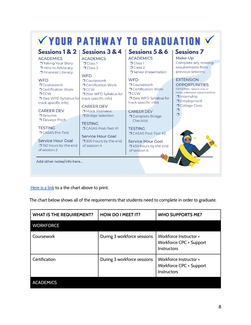|                              | Sessions 1 & 2   Sessions 3 & 4        | Sessions 5 & 6                         | <b>Sessions 7</b>                        |
|------------------------------|----------------------------------------|----------------------------------------|------------------------------------------|
| <b>ACADEMICS</b>             | <b>ACADEMICS</b>                       | <b>ACADEMICS</b>                       | Make-Up                                  |
| <b>Telling Your Story</b>    | $\Box$ Class 1                         | $\Box$ Class 1                         | Complete any missing                     |
| □ Intro to Advocacy          | $\Box$ Class 2                         | $\Box$ Class 2                         | requirements from                        |
| <b>D</b> Financial Literacy  | <b>WFD</b>                             | <b>T</b> Senior Presentation           | previous sessions.                       |
| <b>WFD</b>                   | O Coursework                           | <b>WFD</b>                             | <b>EXTENSION</b>                         |
| <b>T</b> Coursework          | <b>O</b> Certification Work            | <b>T</b> Coursework                    | <b>OPPORTUNITIES</b>                     |
| <b>T</b> Certification Work  | $\sqcap$ CCW                           | <b>O</b> Certification Work            | OPTIONAL: Select one or                  |
| TCCW                         | □ (See WFD Syllabus for                | TCCW                                   | more extension opportunities             |
| $\Box$ (See WFD Syllabus for | track specific info)                   | □ (See WFD Syllabus for                | $\Box$ Internship<br><b>I</b> Employment |
| track specific info)         | <b>CAREER DEV</b>                      | track specific info)                   | O College Class                          |
| <b>CAREER DEV</b>            | <b>I</b> Mock Interview                |                                        | $\Box$                                   |
| $\Box$ Resume                | <b>Bridge Selection</b>                | <b>CAREER DEV</b>                      | □                                        |
| <b>I</b> Elevator Pitch      |                                        | O Complete Bridge<br>Checklist         |                                          |
|                              | <b>TESTING</b>                         |                                        |                                          |
| <b>TESTING</b>               | <b>T CASAS Post-Test #1</b>            | <b>TESTING</b>                         |                                          |
| <b>TCASAS Pre-Test</b>       |                                        | <b>O CASAS Post-Test #2</b>            |                                          |
| Service Hour Goal            | <b>Service Hour Goal</b>               |                                        |                                          |
| 150 hours by the end         | □ 300 hours by the end<br>of session 4 | <b>Service Hour Goal</b>               |                                          |
| of session 2                 |                                        | □ 450 hours by the end<br>of session 6 |                                          |
|                              |                                        |                                        |                                          |
| Add other notes/info here    |                                        |                                        |                                          |

[Here](https://www.canva.com/design/DAEdJ_CDjXs/UtMGsSzvGgSGlromL619FQ/view?utm_content=DAEdJ_CDjXs&utm_campaign=designshare&utm_medium=link&utm_source=publishsharelink&mode=preview) is a link to a the chart above to print.

The chart below shows all of the requirements that students need to complete in order to graduate.

| <b>WHAT IS THE REQUIREMENT?</b> | <b>HOW DO I MEET IT?</b>    | <b>WHO SUPPORTS ME?</b>                                                 |
|---------------------------------|-----------------------------|-------------------------------------------------------------------------|
| <b>WORKFORCE</b>                |                             |                                                                         |
| Coursework                      | During 3 workforce sessions | Workforce Instructor +<br>Workforce CPC + Support<br><b>Instructors</b> |
| Certification                   | During 3 workforce sessions | Workforce Instructor +<br>Workforce CPC + Support<br><b>Instructors</b> |
| <b>ACADEMICS</b>                |                             |                                                                         |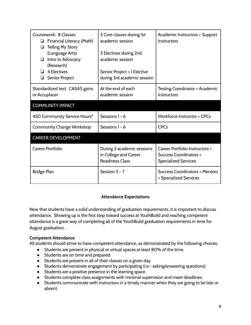| Coursework: 8 Classes<br>Financial Literacy (Math)<br>Q.<br><b>Telling My Story</b><br>❏<br>(Language Arts)<br>Intro to Advocacy<br>❏<br>(Research)<br><b>4 Electives</b><br>Senior Project<br>❏ | 3 Core classes during 1st<br>academic session<br>3 Electives during 2nd<br>academic session<br>Senior Project + 1 Elective<br>during 3rd academic session | Academic Instructors + Support<br><b>Instructors</b>                                           |
|--------------------------------------------------------------------------------------------------------------------------------------------------------------------------------------------------|-----------------------------------------------------------------------------------------------------------------------------------------------------------|------------------------------------------------------------------------------------------------|
| Standardized test: CASAS gains<br>or Accuplacer                                                                                                                                                  | At the end of each<br>academic session                                                                                                                    | <b>Testing Coordinator + Academic</b><br><b>Instructors</b>                                    |
| <b>COMMUNITY IMPACT</b>                                                                                                                                                                          |                                                                                                                                                           |                                                                                                |
| 450 Community Service Hours*                                                                                                                                                                     | Sessions 1 - 6                                                                                                                                            | <b>Workforce Instructor + CPCs</b>                                                             |
| Community Change Workshop                                                                                                                                                                        | Sessions 1 - 6                                                                                                                                            | <b>CPCs</b>                                                                                    |
| <b>CAREER DEVELOPMENT</b>                                                                                                                                                                        |                                                                                                                                                           |                                                                                                |
| <b>Career Portfolio</b>                                                                                                                                                                          | During 3 academic sessions<br>in College and Career<br><b>Readiness Class</b>                                                                             | Career Portfolio Instructors +<br><b>Success Coordinators +</b><br><b>Specialized Services</b> |
| Bridge Plan                                                                                                                                                                                      | Session 5 - 7                                                                                                                                             | <b>Success Coordinators + Mentors</b><br>+ Specialized Services                                |

# **Attendance Expectations**

<span id="page-9-0"></span>Now that students have a solid understanding of graduation requirements, it is important to discuss attendance. Showing up is the first step toward success at YouthBuild and reaching competent attendance is a great way of completing all of the YouthBuild graduation requirements in time for August graduation. .

## **Competent Attendance**

All students should strive to have competent attendance, as demonstrated by the following choices:

- Students are present in physical or virtual spaces at least 80% of the time.
- Students are on time and prepared.
- Students are present in all of their classes on a given day.
- Students demonstrate engagement by participating (i.e.- asking/answering questions)
- Students are a positive presence in the learning space.
- Students complete class assignments with minimal supervision and meet deadlines.
- Students communicate with instructors in a timely manner when they are going to be late or absent.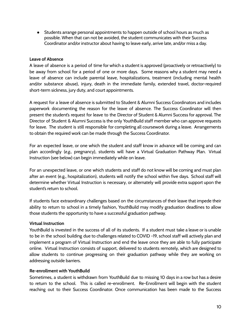● Students arrange personal appointments to happen outside of school hours as much as possible. When that can not be avoided, the student communicates with their Success Coordinator and/or instructor about having to leave early, arrive late, and/or miss a day.

# **Leave of Absence**

A leave of absence is a period of time for which a student is approved (proactively or retroactively) to be away from school for a period of one or more days. Some reasons why a student may need a leave of absence can include parental leave, hospitalizations, treatment (including mental health and/or substance abuse), injury, death in the immediate family, extended travel, doctor-required short-term sickness, jury duty, and court appointments.

A request for a leave of absence is submitted to Student & Alumni Success Coordinators and includes paperwork documenting the reason for the leave of absence. The Success Coordinator will then present the student's request for leave to the Director of Student & Alumni Success for approval. The Director of Student & Alumni Success is the only YouthBuild staff member who can approve requests for leave. The student is still responsible for completing all coursework during a leave. Arrangements to obtain the required work can be made through the Success Coordinator.

For an expected leave, or one which the student and staff know in advance will be coming and can plan accordingly (*e.g.,* pregnancy), students will have a Virtual Graduation Pathway Plan. Virtual Instruction (see below) can begin immediately while on leave.

For an unexpected leave, or one which students and staff do not know will be coming and must plan after an event (e.g., hospitalization), students will notify the school within five days. School staff will determine whether Virtual Instruction is necessary, or alternately will provide extra support upon the student's return to school.

If students face extraordinary challenges based on the circumstances of their leave that impede their ability to return to school in a timely fashion, YouthBuild may modify graduation deadlines to allow those students the opportunity to have a successful graduation pathway.

## **Virtual Instruction**

YouthBuild is invested in the success of all of its students. If a student must take a leave or is unable to be in the school building due to challenges related to COVID -19, school staff will actively plan and implement a program of Virtual Instruction and end the leave once they are able to fully participate online. Virtual Instruction consists of support, delivered to students remotely, which are designed to allow students to continue progressing on their graduation pathway while they are working on addressing outside barriers.

# **Re-enrollment with YouthBuild**

Sometimes, a student is withdrawn from YouthBuild due to missing 10 days in a row but has a desire to return to the school. This is called re-enrollment. Re-Enrollment will begin with the student reaching out to their Success Coordinator. Once communication has been made to the Success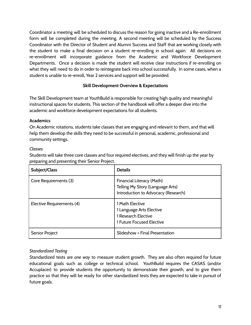Coordinator a meeting will be scheduled to discuss the reason for going inactive and a Re-enrollment form will be completed during the meeting. A second meeting will be scheduled by the Success Coordinator with the Director of Student and Alumni Success and Staff that are working closely with the student to make a final decision on a student re-enrolling in school again. All decisions on re-enrollment will incorporate guidance from the Academic and Workforce Development Departments. Once a decision is made the student will receive clear instructions if re-enrolling on what they will need to do in order to reintegrate back into school successfully. In some cases, when a student is unable to re-enroll, Year 2 services and support will be provided.

# **Skill Development Overview & Expectations**

<span id="page-11-0"></span>The Skill Development team at YouthBuild is responsible for creating high quality and meaningful instructional spaces for students. This section of the handbook will offer a deeper dive into the academic and workforce development expectations for all students.

# <span id="page-11-1"></span>**Academics**

On Academic rotations, students take classes that are engaging and relevant to them, and that will help them develop the skills they need to be successful in personal, academic, professional and community settings.

# *Classes*

Students will take three core classes and four required electives, and they will finish up the year by preparing and presenting their Senior Project.

| Subject/Class             | <b>Details</b>                                                                                       |
|---------------------------|------------------------------------------------------------------------------------------------------|
| Core Requirements (3)     | Financial Literacy (Math)<br>Telling My Story (Language Arts)<br>Introduction to Advocacy (Research) |
| Elective Requirements (4) | 1 Math Elective<br>1 Language Arts Elective<br>1 Research Elective<br>1 Future Focused Elective      |
| Senior Project            | Slideshow + Final Presentation                                                                       |

# *Standardized Testing*

Standardized tests are *one way* to measure student growth. They are also often required for future educational goals such as college or technical school. YouthBuild requires the CASAS (and/or Accuplacer) to provide students the opportunity to demonstrate their growth, and to give them practice so that they will be ready for other standardized tests they are expected to take in pursuit of future goals.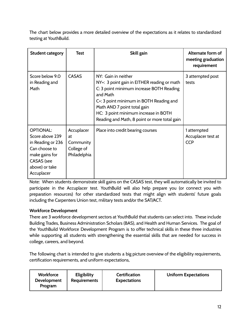The chart below provides a more detailed overview of the expectations as it relates to standardized testing at YouthBuild.

| <b>Student category</b>                                                                                                                          | <b>Test</b>                                                 | Skill gain                                                                                                                                                                                                                                                                                   | Alternate form of<br>meeting graduation<br>requirement |
|--------------------------------------------------------------------------------------------------------------------------------------------------|-------------------------------------------------------------|----------------------------------------------------------------------------------------------------------------------------------------------------------------------------------------------------------------------------------------------------------------------------------------------|--------------------------------------------------------|
| Score below 9.0<br>in Reading and<br>Math                                                                                                        | <b>CASAS</b>                                                | NY: Gain in neither<br>NY+: 3 point gain in EITHER reading or math<br>C: 3 point minimum increase BOTH Reading<br>and Math<br>C+: 3 point minimum in BOTH Reading and<br>Math AND 7 point total gain<br>HC: 3 point minimum increase in BOTH<br>Reading and Math, 8 point or more total gain | 3 attempted post<br>tests                              |
| <b>OPTIONAL:</b><br>Score above 239<br>in Reading or 236<br>Can choose to<br>make gains for<br><b>CASAS</b> (see<br>above) or take<br>Accuplacer | Accuplacer<br>at<br>Community<br>College of<br>Philadelphia | Place into credit bearing courses                                                                                                                                                                                                                                                            | 1 attempted<br>Accuplacer test at<br><b>CCP</b>        |

Note: When students demonstrate skill gains on the CASAS test, they will automatically be invited to participate in the Accuplacer test. YouthBuild will also help prepare you (or connect you with preparation resources) for other standardized tests that might align with students' future goals including the Carpenters Union test, military tests and/or the SAT/ACT.

# <span id="page-12-0"></span>**Workforce Development**

There are 3 workforce development sectors at YouthBuild that students can select into. These include Building Trades, Business Administration Scholars (BAS), and Health and Human Services. The goal of the YouthBuild Workforce Development Program is to offer technical skills in these three industries while supporting all students with strengthening the essential skills that are needed for success in college, careers, and beyond.

The following chart is intended to give students a big picture overview of the eligibility requirements, certification requirements, and uniform expectations,

| <b>Workforce</b><br><b>Development</b><br>Program | <b>Eligibility</b><br><b>Requirements</b> | <b>Certification</b><br><b>Expectations</b> | <b>Uniform Expectations</b> |
|---------------------------------------------------|-------------------------------------------|---------------------------------------------|-----------------------------|
|---------------------------------------------------|-------------------------------------------|---------------------------------------------|-----------------------------|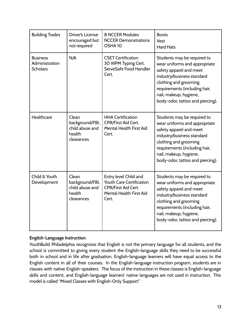| <b>Building Trades</b>                               | Driver's License<br>encouraged but<br>not required                  | <b>8 NCCER Modules</b><br><b>NCCER Demonstrations</b><br>OSHA <sub>10</sub>                                                | <b>Boots</b><br>Vest<br><b>Hard Hats</b>                                                                                                                                                                                                      |
|------------------------------------------------------|---------------------------------------------------------------------|----------------------------------------------------------------------------------------------------------------------------|-----------------------------------------------------------------------------------------------------------------------------------------------------------------------------------------------------------------------------------------------|
| <b>Business</b><br>Administration<br><b>Scholars</b> | N/A                                                                 | <b>CSET Certification</b><br>30 WPM Typing Cert.<br>ServeSafe Food Handler<br>Cert.                                        | Students may be required to<br>wear uniforms and appropriate<br>safety apparel and meet<br>industry/business standard<br>clothing and grooming<br>requirements (including hair,<br>nail, makeup, hygiene,<br>body-odor, tattoo and piercing). |
| Healthcare                                           | Clean<br>background/FBI,<br>child abuse and<br>health<br>clearances | <b>HHA Certification</b><br><b>CPR/First Aid Cert.</b><br>Mental Health First Aid<br>Cert.                                 | Students may be required to<br>wear uniforms and appropriate<br>safety apparel and meet<br>industry/business standard<br>clothing and grooming<br>requirements (including hair,<br>nail, makeup, hygiene,<br>body-odor, tattoo and piercing). |
| Child & Youth<br>Development                         | Clean<br>background/FBI,<br>child abuse and<br>health<br>clearances | Entry level Child and<br>Youth Care Certification<br><b>CPR/First Aid Cert.</b><br><b>Mental Health First Aid</b><br>Cert. | Students may be required to<br>wear uniforms and appropriate<br>safety apparel and meet<br>industry/business standard<br>clothing and grooming<br>requirements (including hair,<br>nail, makeup, hygiene,<br>body-odor, tattoo and piercing). |

# <span id="page-13-0"></span>**English-Language Instruction**

YouthBuild Philadelphia recognizes that English is not the primary language for all students, and the school is committed to giving every student the English-language skills they need to be successful both in school and in life after graduation. English-language learners will have equal access to the English content in all of their courses. In the English-language instruction program, students are in classes with native English-speakers. The focus of the instruction in these classes is English-language skills and content, and English-language learners' native languages are not used in instruction. This model is called "Mixed Classes with English-Only Support."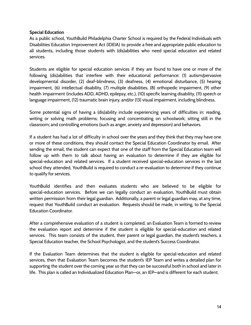# <span id="page-14-0"></span>**Special Education**

As a public school, YouthBuild Philadelphia Charter School is required by the Federal Individuals with Disabilities Education Improvement Act (IDEIA) to provide a free and appropriate public education to all students, including those students with (dis)abilities who need special education and related services.

Students are eligible for special education services if they are found to have one or more of the following (dis)abilities that interfere with their educational performance: (1) autism/pervasive developmental disorder, (2) deaf-blindness, (3) deafness, (4) emotional disturbance, (5) hearing impairment, (6) intellectual disability, (7) multiple disabilities, (8) orthopedic impairment, (9) other health impairment (includes ADD, ADHD, epilepsy, etc.), (10) specific learning disability, (11) speech or language impairment, (12) traumatic brain injury, and/or (13) visual impairment, including blindness.

Some potential signs of having a (dis)ability include experiencing years of difficulties in: reading, writing or solving math problems; focusing and concentrating on schoolwork; sitting still in the classroom; and controlling emotions (such as anger, anxiety and depression) and behaviors.

If a student has had a lot of difficulty in school over the years and they think that they may have one or more of these conditions, they should contact the Special Education Coordinator by email. After sending the email, the student can expect that one of the staff from the Special Education team will follow up with them to talk about having an evaluation to determine if they are eligible for special-education and related services. If a student received special-education services in the last school they attended, YouthBuild is required to conduct a re-evaluation to determine if they continue to qualify for services.

YouthBuild identifies and then evaluates students who are believed to be eligible for special-education services. Before we can legally conduct an evaluation, YouthBuild must obtain written permission from their legal guardian. Additionally, a parent or legal guardian may, at any time, request that YouthBuild conduct an evaluation. Requests should be made, in writing, to the Special Education Coordinator.

After a comprehensive evaluation of a student is completed, an Evaluation Team is formed to review the evaluation report and determine if the student is eligible for special-education and related services. This team consists of the student, their parent or legal guardian, the student's teachers, a Special Education teacher, the School Psychologist, and the student's Success Coordinator.

If the Evaluation Team determines that the student is eligible for special-education and related services, then that Evaluation Team becomes the student's IEP Team and writes a detailed plan for supporting the student over the coming year so that they can be successful both in school and later in life. This plan is called an Individualized Education Plan—or, an IEP—and is different for each student.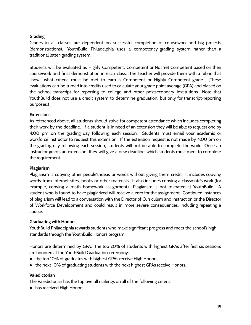# <span id="page-15-0"></span>**Grading**

Grades in all classes are dependent on successful completion of coursework and big projects (demonstrations). YouthBuild Philadelphia uses a competency-grading system rather than a traditional letter-grading system.

Students will be evaluated as Highly Competent, Competent or Not Yet Competent based on their coursework and final demonstration in each class. The teacher will provide them with a rubric that shows what criteria must be met to earn a Competent or Highly Competent grade. (These evaluations can be turned into credits used to calculate your grade point average (GPA) and placed on the school transcript for reporting to college and other postsecondary institutions. Note that YouthBuild does not use a credit system to determine graduation, but only for transcript-reporting purposes.)

# <span id="page-15-1"></span>**Extensions**

As referenced above, all students should strive for competent attendance which includes completing their work by the deadline. If a student is in need of an extension they will be able to request one by 4:00 pm on the grading day following each session. Students must email your academic or workforce instructor to request this extension. If the extension request is not made by 4:00 pm on the grading day following each session, students will not be able to complete the work. Once an instructor grants an extension, they will give a new deadline, which students must meet to complete the requirement.

# <span id="page-15-2"></span>**Plagiarism**

Plagiarism is copying other people's ideas or words without giving them credit. It includes copying words from Internet sites, books or other materials. It also includes copying a classmate's work (for example, copying a math homework assignment). Plagiarism is not tolerated at YouthBuild. A student who is found to have plagiarized will receive a zero for the assignment. Continued instances of plagiarism will lead to a conversation with the Director of Curriculum and Instruction or the Director of Workforce Development and could result in more severe consequences, including repeating a course.

# <span id="page-15-3"></span>**Graduating with Honors**

YouthBuild Philadelphia rewards students who make significant progress and meet the school's high standards through the YouthBuild Honors program.

Honors are determined by GPA. The top 20% of students with highest GPAs after first six sessions are honored at the YouthBuild Graduation ceremony:

- the top 10% of graduates with highest GPAs receive High Honors,
- the next 10% of graduating students with the next highest GPAs receive Honors.

## **Valedictorian**

The Valedictorian has the top overall rankings on all of the following criteria:

● has received High Honors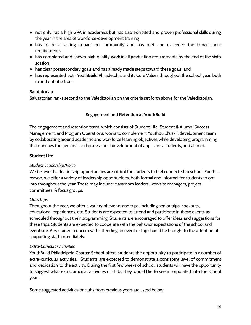- not only has a high GPA in academics but has also exhibited and proven professional skills during the year in the area of workforce-development training
- has made a lasting impact on community and has met and exceeded the impact hour requirements
- has completed and shown high quality work in all graduation requirements by the end of the sixth session
- has clear postsecondary goals and has already made steps toward these goals, and
- has represented both YouthBuild Philadelphia and its Core Values throughout the school year, both in and out of school.

# **Salutatorian**

<span id="page-16-0"></span>Salutatorian ranks second to the Valedictorian on the criteria set forth above for the Valedictorian.

# **Engagement and Retention at YouthBuild**

The engagement and retention team, which consists of Student Life, Student & Alumni Success Management, and Program Operations, works to complement YouthBuild's skill development team by collaborating around academic and workforce learning objectives while developing programming that enriches the personal and professional development of applicants, students, and alumni.

# <span id="page-16-1"></span>**Student Life**

# *Student Leadership/Voice*

We believe that leadership opportunities are critical for students to feel connected to school. For this reason, we offer a variety of leadership opportunities, both formal and informal for students to opt into throughout the year. These may include: classroom leaders, worksite managers, project committees, & focus groups.

# *Class trips*

Throughout the year, we offer a variety of events and trips, including senior trips, cookouts, educational experiences, etc. Students are expected to attend and participate in these events as scheduled throughout their programming. Students are encouraged to offer ideas and suggestions for these trips. Students are expected to cooperate with the behavior expectations of the school and event site. Any student concern with attending an event or trip should be brought to the attention of supporting staff immediately.

# *Extra-Curricular Activities*

YouthBuild Philadelphia Charter School offers students the opportunity to participate in a number of extra-curricular activities. Students are expected to demonstrate a consistent level of commitment and dedication to the activity. During the first few weeks of school, students will have the opportunity to suggest what extracurricular activities or clubs they would like to see incorporated into the school year.

Some suggested activities or clubs from previous years are listed below: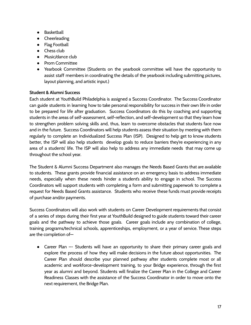- Basketball
- Cheerleading
- Flag Football
- Chess club
- Music/dance club
- Prom Committee
- Yearbook Committee (Students on the yearbook committee will have the opportunity to assist staff members in coordinating the details of the yearbook including submitting pictures, layout planning, and artistic input.)

# <span id="page-17-0"></span>**Student & Alumni Success**

Each student at YouthBuild Philadelphia is assigned a Success Coordinator. The Success Coordinator can guide students in learning how to take personal responsibility for success in their own life in order to be prepared for life after graduation. Success Coordinators do this by coaching and supporting students in the areas of self-assessment, self-reflection, and self-development so that they learn how to strengthen problem solving skills and, thus, learn to overcome obstacles that students face now and in the future. Success Coordinators will help students assess their situation by meeting with them regularly to complete an Individualized Success Plan (ISP). Designed to help get to know students better, the ISP will also help students develop goals to reduce barriers they're experiencing in any area of a students' life. The ISP will also help to address any immediate needs that may come up throughout the school year.

The Student & Alumni Success Department also manages the Needs Based Grants that are available to students. These grants provide financial assistance on an emergency basis to address immediate needs, especially when these needs hinder a student's ability to engage in school. The Success Coordinators will support students with completing a form and submitting paperwork to complete a request for Needs Based Grants assistance. Students who receive these funds must provide receipts of purchase and/or payments.

Success Coordinators will also work with students on Career Development requirements that consist of a series of steps during their first year at YouthBuild designed to guide students toward their career goals and the pathway to achieve those goals. Career goals include any combination of college, training programs/technical schools, apprenticeships, employment, or a year of service. These steps are the completion of—

• Career Plan -- Students will have an opportunity to share their primary career goals and explore the process of how they will make decisions in the future about opportunities. The Career Plan should describe your planned pathway after students complete most or all academic and workforce-development training, to your Bridge experience, through the first year as alumni and beyond. Students will finalize the Career Plan in the College and Career Readiness Classes with the assistance of the Success Coordinator in order to move onto the next requirement, the Bridge Plan.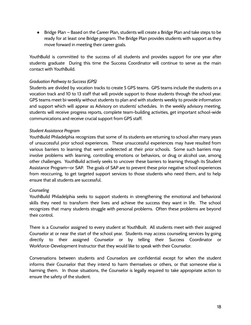● Bridge Plan – Based on the Career Plan, students will create a Bridge Plan and take steps to be ready for at least one Bridge program. The Bridge Plan provides students with support as they move forward in meeting their career goals.

YouthBuild is committed to the success of all students and provides support for one year after students graduate During this time the Success Coordinator will continue to serve as the main contact with YouthBuild.

# *Graduation Pathway to Success (GPS)*

Students are divided by vocation tracks to create 5 GPS teams. GPS teams include the students on a vocation track and 10 to 13 staff that will provide support to those students through the school year. GPS teams meet bi-weekly without students to plan and with students weekly to provide information and support which will appear as Advisory on students' schedules. In the weekly advisory meeting, students will receive progress reports, complete team-building activities, get important school-wide communications and receive crucial support from GPS staff.

# *Student Assistance Program*

YouthBuild Philadelphia recognizes that some of its students are returning to school after many years of unsuccessful prior school experiences. These unsuccessful experiences may have resulted from various barriers to learning that went undetected at their prior schools. Some such barriers may involve problems with learning, controlling emotions or behaviors, or drug or alcohol use, among other challenges. YouthBuild actively seeks to uncover these barriers to learning through its Student Assistance Program—or SAP. The goals of SAP are to prevent these prior negative school experiences from reoccurring, to get targeted support services to those students who need them, and to help ensure that all students are successful.

## <span id="page-18-0"></span>*Counseling*

YouthBuild Philadelphia seeks to support students in strengthening the emotional and behavioral skills they need to transform their lives and achieve the success they want in life. The school recognizes that many students struggle with personal problems. Often these problems are beyond their control.

There is a Counselor assigned to every student at YouthBuilt. All students meet with their assigned Counselor at or near the start of the school year. Students may access counseling services by going directly to their assigned Counselor or by telling their Success Coordinator or Workforce-Development Instructor that they would like to speak with their Counselor.

Conversations between students and Counselors are confidential except for when the student informs their Counselor that they intend to harm themselves or others, or that someone else is harming them. In those situations, the Counselor is legally required to take appropriate action to ensure the safety of the student.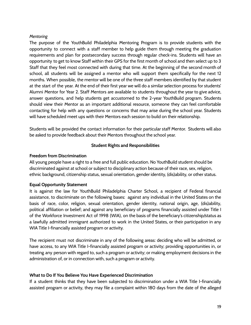# <span id="page-19-0"></span>*Mentoring*

The purpose of the YouthBuild Philadelphia Mentoring Program is to provide students with the opportunity to connect with a staff member to help guide them through meeting the graduation requirements and plan for postsecondary success through regular check-ins. Students will have an opportunity to get to know Staff within their GPS for the first month of school and then select up to 3 Staff that they feel most connected with during that time. At the beginning of the second month of school, all students will be assigned a mentor who will support them specifically for the next 12 months. When possible, the mentor will be one of the three staff members identified by that student at the start of the year. At the end of their first year we will do a similar selection process for students' Alumni Mentor for Year 2. Staff Mentors are available to students throughout the year to give advice, answer questions, and help students get accustomed to the 2-year YouthBuild program. Students should view their Mentor as an important additional resource, someone they can feel comfortable contacting for help with any questions or concerns that may arise during the school year. Students will have scheduled meet ups with their Mentors each session to build on their relationship.

<span id="page-19-1"></span>Students will be provided the contact information for their particular staff Mentor. Students will also be asked to provide feedback about their Mentors throughout the school year.

## **Student Rights and Responsibilities**

# <span id="page-19-2"></span>**Freedom from Discrimination**

All young people have a right to a free and full public education. No YouthBuild student should be discriminated against at school or subject to disciplinary action because of their race, sex, religion, ethnic background, citizenship status, sexual orientation, gender identity, (dis)ability, or other status.

# <span id="page-19-3"></span>**Equal Opportunity Statement**

It is against the law for YouthBuild Philadelphia Charter School, a recipient of Federal financial assistance, to discriminate on the following bases: against any individual in the United States on the basis of race, color, religion, sexual orientation, gender identity, national origin, age, (dis)ability, political affiliation or belief; and against any beneficiary of programs financially assisted under Title I of the Workforce Investment Act of 1998 (WIA), on the basis of the beneficiary's citizenship/status as a lawfully admitted immigrant authorized to work in the United States, or their participation in any WIA Title I-financially assisted program or activity.

The recipient must not discriminate in any of the following areas: deciding who will be admitted, or have access, to any WIA Title I-financially assisted program or activity; providing opportunities in, or treating any person with regard to, such a program or activity; or making employment decisions in the administration of, or in connection with, such a program or activity.

## <span id="page-19-4"></span>**What to Do If You Believe You Have Experienced Discrimination**

If a student thinks that they have been subjected to discrimination under a WIA Title I-financially assisted program or activity, they may file a complaint within 180 days from the date of the alleged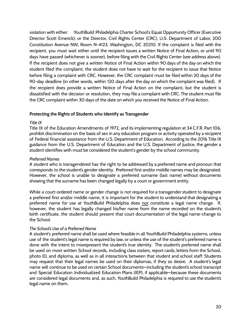violation with either: YouthBuild Philadelphia Charter School's Equal Opportunity Officer (Executive Director Scott Emerick); or the Director, Civil Rights Center (CRC), U.S. Department of Labor, 200 Constitution Avenue NW, Room N-4123, Washington, DC 20210. If the complaint is filed with the recipient, you must wait either until the recipient issues a written Notice of Final Action, or until 90 days have passed (whichever is sooner), before filing with the Civil Rights Center (see address above). If the recipient does not give a written Notice of Final Action within 90 days of the day on which the student filed the complaint, the student does not have to wait for the recipient to issue that Notice before filing a complaint with CRC. However, the CRC complaint must be filed within 30 days of the 90-day deadline (in other words, within 120 days after the day on which the complaint was filed). If the recipient does provide a written Notice of Final Action on the complaint, but the student is dissatisfied with the decision or resolution, they may file a complaint with CRC. The student must file the CRC complaint within 30 days of the date on which you received the Notice of Final Action.

## <span id="page-20-0"></span>**Protecting the Rights of Students who Identify as Transgender**

## *Title IX*

Title IX of the Education Amendments of 1972, and its implementing regulation at 34 C.F.R. Part 106, prohibit discrimination on the basis of sex in any education program or activity operated by a recipient of Federal financial assistance from the U.S. Department of Education. According to the 2016 Title IX guidance from the U.S. Department of Education and the U.S. Department of Justice, the gender a student identifies with must be considered the student's gender by the school community.

## *Preferred Names*

A student who is transgendered has the right to be addressed by a preferred name and pronoun that corresponds to the student's gender identity. Preferred first and/or middle names may be designated. However, the school is unable to designate a preferred surname (last name) without documents showing that the surname has been changed legally by a court or government entity.

While a court-ordered name or gender change is not required for a transgender student to designate a preferred first and/or middle name, it is important for the student to understand that designating a preferred name for use at YouthBuild Philadelphia does not constitute a legal name change. If, however, the student has legally changed his/her name from the name recorded on the student's birth certificate, the student should present that court documentation of the legal name-change to the School.

## *The School's Use of a Preferred Name*

A student's preferred name shall be used where feasible in all YouthBuild Philadelphia systems, unless use of the student's legal name is required by law, or unless the use of the student's preferred name is done with the intent to misrepresent the student's true identity. The student's preferred name shall be used on most written School records, including class rosters, report cards, letters from the School, photo ID, and diploma, as well as in all interactions between that student and school staff. Students may request that their legal names be used on their diplomas, if they so desire. A student's legal name will continue to be used on certain School documents—including the student's school transcript and Special Education Individualized Education Plans (IEP), if applicable—because these documents are considered legal documents and, as such, YouthBuild Philadelphia is required to use the student's legal name on them.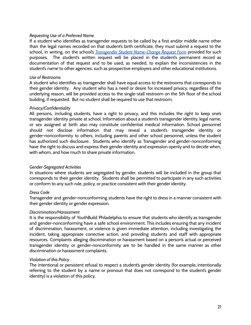#### *Requesting Use of a Preferred Name*

If a student who identifies as transgender requests to be called by a first and/or middle name other than the legal names recorded on that student's birth certificate, they must submit a request to the school, in writing, on the school's *Transgender Student [Name-Change](https://docs.google.com/document/d/0B4hsNC28Fky1UkFBdEhIOHdZalhXYmotTGdZdFIwNG9YRHBj/edit#heading=h.gjdgxs) Request Form* provided for such purposes. The student's written request will be placed in the student's permanent record as documentation of that request and to be used, as needed, to explain the inconsistencies in the student's name to other agencies, such as prospective employers and other educational institutions.

#### *Use of Restrooms*

A student who identifies as transgender shall have equal access to the restrooms that corresponds to their gender identity. Any student who has a need or desire for increased privacy, regardless of the underlying reason, will be provided access to the single-stall restroom on the 5th floor of the school building, if requested. But no student shall be required to use that restroom.

#### *Privacy/Confidentiality*

All persons, including students, have a right to privacy, and this includes the right to keep one's transgender identity private at school. Information about a student's transgender identity, legal name, or sex assigned at birth also may constitute confidential medical information. School personnel should not disclose information that may reveal a student's transgender identity or gender-nonconformity to others, including parents and other school personnel, unless the student has authorized such disclosure. Students who identify as Transgender and gender-nonconforming have the right to discuss and express their gender identity and expression openly and to decide when, with whom, and how much to share private information.

## *Gender-Segregated Activities*

In situations where students are segregated by gender, students will be included in the group that corresponds to their gender identity. Students shall be permitted to participate in any such activities or conform to any such rule, policy, or practice consistent with their gender identity.

## *Dress Code*

Transgender and gender-nonconforming students have the right to dress in a manner consistent with their gender identity or gender expression.

#### *Discrimination/Harassment*

It is the responsibility of YouthBuild Philadelphia to ensure that students who identify as transgender and gender-nonconforming have a safe school environment. This includes ensuring that any incident of discrimination, harassment, or violence is given immediate attention, including investigating the incident, taking appropriate corrective action, and providing students and staff with appropriate resources. Complaints alleging discrimination or harassment based on a person's actual or perceived transgender identity or gender-nonconformity are to be handled in the same manner as other discrimination or harassment complaints.

#### *Violation of this Policy*

The intentional or persistent refusal to respect a student's gender identity (for example, intentionally referring to the student by a name or pronoun that does not correspond to the student's gender identity) is a violation of this policy.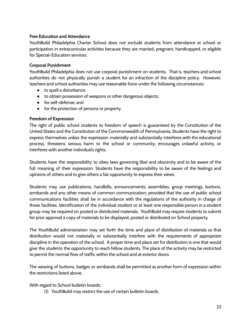# <span id="page-22-0"></span>**Free Education and Attendance**

YouthBuild Philadelphia Charter School does not exclude students from attendance at school or participation in extracurricular activities because they are married, pregnant, handicapped, or eligible for Special-Education services.

# <span id="page-22-1"></span>**Corporal Punishment**

YouthBuild Philadelphia does not use corporal punishment on students. That is, teachers and school authorities do not physically punish a student for an infraction of the discipline policy. However, teachers and school authorities may use reasonable force under the following circumstances:

- to quell a disturbance;
- to obtain possession of weapons or other dangerous objects;
- for self-defense; and
- for the protection of persons or property.

# <span id="page-22-2"></span>**Freedom of Expression**

The right of public school students to freedom of speech is guaranteed by the Constitution of the United States and the Constitution of the Commonwealth of Pennsylvania. Students have the right to express themselves *unless* the expression materially and substantially interferes with the educational process, threatens serious harm to the school or community, encourages unlawful activity, or interferes with another individual's rights.

Students have the responsibility to obey laws governing libel and obscenity and to be aware of the full meaning of their expression. Students have the responsibility to be aware of the feelings and opinions of others and to give others a fair opportunity to express their views.

Students may use publications, handbills, announcements, assemblies, group meetings, buttons, armbands and any other means of common communication, provided that the use of public school communications facilities shall be in accordance with the regulations of the authority in charge of those facilities. Identification of the individual student or at least one responsible person in a student group may be required on posted or distributed materials. YouthBuild may require students to submit for prior approval a copy of materials to be displayed, posted or distributed on School property.

The YouthBuild administration may set forth the time and place of distribution of materials so that distribution would not materially or substantially interfere with the requirements of appropriate discipline in the operation of the school. A proper time and place set for distribution is one that would give the students the opportunity to reach fellow students. The place of the activity may be restricted to permit the normal flow of traffic within the school and at exterior doors.

The wearing of buttons, badges or armbands shall be permitted as another form of expression within the restrictions listed above.

With regard to School bulletin boards:

(1) YouthBuild may restrict the use of certain bulletin boards.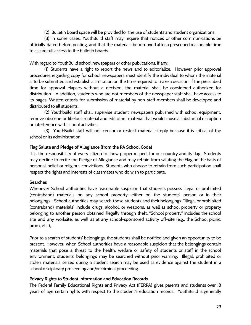(2) Bulletin board space will be provided for the use of students and student organizations.

(3) In some cases, YouthBuild staff may require that notices or other communications be officially dated before posting, and that the materials be removed after a prescribed reasonable time to assure full access to the bulletin boards.

With regard to YouthBuild school newspapers or other publications, if any:

(1) Students have a right to report the news and to editorialize. However, prior approval procedures regarding copy for school newspapers must identify the individual to whom the material is to be submitted and establish a limitation on the time required to make a decision. If the prescribed time for approval elapses without a decision, the material shall be considered authorized for distribution. In addition, students who are not members of the newspaper staff shall have access to its pages. Written criteria for submission of material by non-staff members shall be developed and distributed to all students.

(2) Youthbuild staff shall supervise student newspapers published with school equipment, remove obscene or libelous material and edit other material that would cause a substantial disruption or interference with school activities.

(3) YouthBuild staff will not censor or restrict material simply because it is critical of the school or its administration.

# <span id="page-23-0"></span>**Flag Salute and Pledge of Allegiance (from the PA School Code)**

It is the responsibility of every citizen to show proper respect for our country and its flag. Students may decline to recite the Pledge of Allegiance and may refrain from saluting the Flag on the basis of personal belief or religious convictions. Students who choose to refrain from such participation shall respect the rights and interests of classmates who do wish to participate.

# <span id="page-23-1"></span>**Searches**

Whenever School authorities have reasonable suspicion that students possess illegal or prohibited (contraband) materials on any school property--either on the students' person or in their belongings--School authorities may search those students and their belongings. "Illegal or prohibited (contraband) materials" include drugs, alcohol, or weapons, as well as school property or property belonging to another person obtained illegally through theft. "School property" includes the school site and any worksite, as well as at any school-sponsored activity off-site (e.g., the School picnic, prom, etc.),

Prior to a search of students' belongings, the students shall be notified and given an opportunity to be present. However, when School authorities have a reasonable suspicion that the belongings contain materials that pose a threat to the health, welfare or safety of students or staff in the school environment, students' belongings may be searched without prior warning. Illegal, prohibited or stolen materials seized during a student search may be used as evidence against the student in a school disciplinary proceeding and/or criminal proceeding.

# <span id="page-23-2"></span>**Privacy Rights to Student Information and Education Records**

The Federal Family Educational Rights and Privacy Act (FERPA) gives parents and students over 18 years of age certain rights with respect to the student's education records. YouthBuild is generally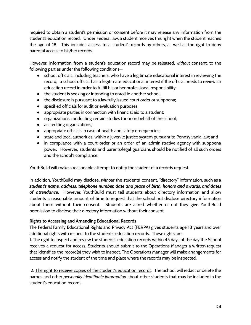required to obtain a student's permission or consent before it may release any information from the student's education record. Under Federal law, a student receives this right when the student reaches the age of 18. This includes access to a student's records by others, as well as the right to deny parental access to his/her records.

However, information from a student's education record may be released, *without* consent, to the following parties under the following conditions—

- school officials, including teachers, who have a legitimate educational interest in reviewing the record; a school official has a legitimate educational interest if the official needs to review an education record in order to fulfill his or her professional responsibility;
- the student is seeking or intending to enroll in another school;
- the disclosure is pursuant to a lawfully issued court order or subpoena;
- specified officials for audit or evaluation purposes;
- appropriate parties in connection with financial aid to a student;
- organizations conducting certain studies for or on behalf of the school;
- accrediting organizations;
- appropriate officials in case of health and safety emergencies;
- state and local authorities, within a juvenile justice system pursuant to Pennsylvania law; and
- in compliance with a court order or an order of an administrative agency with subpoena power. However, students and parents/legal guardians should be notified of all such orders and the school's compliance.

YouthBuild will make a reasonable attempt to notify the student of a records request.

In addition, YouthBuild may disclose, *without* the students' consent, "directory" information, such as a *student's name, address, telephone number, date and place of birth, honors and awards, and dates of attendance*. However, YouthBuild must tell students about directory information and allow students a reasonable amount of time to request that the school not disclose directory information about them without their consent. Students are asked whether or not they give YouthBuild permission to disclose their directory information without their consent.

# <span id="page-24-0"></span>**Rights to Accessing and Amending Educational Records**

The Federal Family Educational Rights and Privacy Act (FERPA) gives students age 18 years and over additional rights with respect to the student's education records. These rights are:

1. The right to inspect and review the student's education records within 45 days of the day the School receives a request for access. Students should submit to the Operations Manager a written request that identifies the record(s) they wish to inspect. The Operations Manager will make arrangements for access and notify the student of the time and place where the records may be inspected.

2. The right to receive copies of the student's education records. The School will redact or delete the names and other *personally identifiable information* about other students that may be included in the student's education records.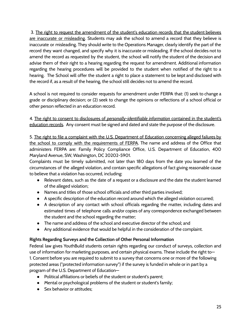3. The right to request the amendment of the student's education records that the student believes are inaccurate or misleading. Students may ask the school to amend a record that they believe is inaccurate or misleading. They should write to the Operations Manager, clearly identify the part of the record they want changed, and specify why it is inaccurate or misleading. If the school decides not to amend the record as requested by the student, the school will notify the student of the decision and advise them of their right to a hearing regarding the request for amendment. Additional information regarding the hearing procedures will be provided to the student when notified of the right to a hearing. The School will offer the student a right to place a statement to be kept and disclosed with the record if, as a result of the hearing, the school still decides not to amend the record.

A school is not required to consider requests for amendment under FERPA that: (1) seek to change a grade or disciplinary decision; or (2) seek to change the opinions or reflections of a school official or other person reflected in an education record.

4. The right to consent to disclosures of *personally-identifiable information* contained in the student's education records. Any consent must be signed and dated and state the purpose of the disclosure.

5. The right to file a complaint with the U.S. Department of Education concerning alleged failures by the school to comply with the requirements of FERPA. The name and address of the Office that administers FERPA are: Family Policy Compliance Office, U.S. Department of Education, 400 Maryland Avenue, SW, Washington, DC 20202-5901.

Complaints must be timely submitted, not later than 180 days from the date you learned of the circumstances of the alleged violation, and contain specific allegations of fact giving reasonable cause to believe that a violation has occurred, including:

- Relevant dates, such as the date of a request or a disclosure and the date the student learned of the alleged violation;
- Names and titles of those school officials and other third parties involved;
- A specific description of the education record around which the alleged violation occurred;
- A description of any contact with school officials regarding the matter, including dates and estimated times of telephone calls and/or copies of any correspondence exchanged between the student and the school regarding the matter;
- The name and address of the school and executive director of the school; and
- Any additional evidence that would be helpful in the consideration of the complaint.

# <span id="page-25-0"></span>**Rights Regarding Surveys and the Collection of Other Personal Information**

Federal law gives YouthBuild students certain rights regarding our conduct of surveys, collection and use of information for marketing purposes, and certain physical exams. These include the right to— 1. Consent before you are required to submit to a survey that concerns one or more of the following protected areas ("protected information survey") if the survey is funded in whole or in part by a program of the U.S. Department of Education—

- Political affiliations or beliefs of the student or student's parent;
- Mental or psychological problems of the student or student's family;
- Sex behavior or attitudes: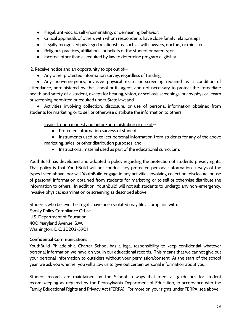- Illegal, anti-social, self-incriminating, or demeaning behavior;
- Critical appraisals of others with whom respondents have close family relationships;
- Legally recognized privileged relationships, such as with lawyers, doctors, or ministers;
- Religious practices, affiliations, or beliefs of the student or parents; or
- Income, other than as required by law to determine program eligibility.

2. Receive notice and an opportunity to opt out of—

● Any other protected information survey, regardless of funding;

● Any non-emergency, invasive physical exam or screening required as a condition of attendance, administered by the school or its agent, and not necessary to protect the immediate health and safety of a student, except for hearing, vision, or scoliosis screenings, or any physical exam or screening permitted or required under State law; and

● Activities involving collection, disclosure, or use of personal information obtained from students for marketing or to sell or otherwise distribute the information to others.

Inspect, upon request and before administration or use of—

- Protected information surveys of students;
- Instruments used to collect personal information from students for any of the above marketing, sales, or other distribution purposes; and
	- Instructional material used as part of the educational curriculum.

YouthBuild has developed and adopted a policy regarding the protection of students' privacy rights. That policy is that YouthBuild will not conduct any protected personal-information surveys of the types listed above, nor will YouthBuild engage in any activities involving collection, disclosure, or use of personal information obtained from students for marketing or to sell or otherwise distribute the information to others. In addition, YouthBuild will not ask students to undergo any non-emergency, invasive physical examination or screening as described above.

Students who believe their rights have been violated may file a complaint with:

Family Policy Compliance Office U.S. Department of Education 400 Maryland Avenue, S.W. Washington, D.C. 20202-5901

## <span id="page-26-0"></span>**Confidential Communications**

YouthBuild Philadelphia Charter School has a legal responsibility to keep confidential whatever personal information we have on you in our educational records. This means that we cannot give out your personal information to outsiders without your permission/consent. At the start of the school year, we ask you whether you will allow us to give out certain personal information about you.

Student records are maintained by the School in ways that meet all guidelines for student record-keeping as required by the Pennsylvania Department of Education, in accordance with the Family Educational Rights and Privacy Act (FERPA). For more on your rights under FERPA, see above.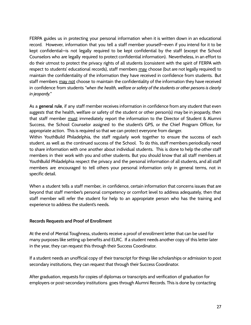FERPA guides us in protecting your personal information when it is written down in an educational record. However, information that you tell a staff member yourself—even if you intend for it to be kept confidential—is not legally required to be kept confidential by the staff (except the School Counselors who are legally required to protect confidential information). Nevertheless, in an effort to do their utmost to protect the privacy rights of all students (consistent with the spirit of FERPA with respect to students' educational records), staff members may choose (but are not legally required) to maintain the confidentiality of the information they have received in confidence from students. But staff members may not choose to maintain the confidentiality of the information they have received in confidence from students "*when the health, welfare or safety of the students or other persons is clearly in jeopardy.*"

As a **general rule**, if any staff member receives information in confidence from any student that even *suggests* that the health, welfare or safety of the student or other person(s) may be in jeopardy, then that staff member must immediately report the information to the Director of Student & Alumni Success, the School Counselor assigned to the student's GPS, or the Chief Program Officer, for appropriate action. This is required so that we can protect everyone from danger.

Within YouthBuild Philadelphia, the staff regularly work together to ensure the success of each student, as well as the continued success of the School. To do this, staff members periodically need to share information with one another about individual students. This is done to help the other staff members in their work with you and other students. But you should know that all staff members at YouthBuild Philadelphia respect the privacy and the personal information of all students, and all staff members are encouraged to tell others your personal information only in general terms, not in specific detail.

When a student tells a staff member, in confidence, certain information that concerns issues that are beyond that staff member's personal competency or comfort level to address adequately, then that staff member will refer the student for help to an appropriate person who has the training and experience to address the student's needs.

## <span id="page-27-0"></span>**Records Requests and Proof of Enrollment**

At the end of Mental Toughness, students receive a proof of enrollment letter that can be used for many purposes like setting up benefits and ELRC. If a student needs another copy of this letter later in the year, they can request this through their Success Coordinator.

If a student needs an unofficial copy of their transcript for things like scholarships or admission to post secondary institutions, they can request that through their Success Coordinator.

After graduation, requests for copies of diplomas or transcripts and verification of graduation for employers or post-secondary institutions goes through Alumni Records. This is done by contacting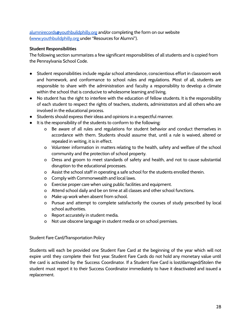[alumnirecords@youthbuildphilly.org](https://youthbuildphilly.org/our-program/alumni/) and/or completing the form on our website [\(www.youthbuildphilly.org](http://www.youthbuildphilly.org) under "Resources for Alumni").

# <span id="page-28-0"></span>**Student Responsibilities**

The following section summarizes a few significant responsibilities of all students and is copied from the Pennsylvania School Code.

- Student responsibilities include regular school attendance, conscientious effort in classroom work and homework, and conformance to school rules and regulations. Most of all, students are responsible to share with the administration and faculty a responsibility to develop a climate within the school that is conducive to wholesome learning and living.
- No student has the right to interfere with the education of fellow students. It is the responsibility of each student to respect the rights of teachers, students, administrators and all others who are involved in the educational process.
- Students should express their ideas and opinions in a respectful manner.
- It is the responsibility of the students to conform to the following:
	- o Be aware of all rules and regulations for student behavior and conduct themselves in accordance with them. Students should assume that, until a rule is waived, altered or repealed in writing, it is in effect.
	- o Volunteer information in matters relating to the health, safety and welfare of the school community and the protection of school property.
	- o Dress and groom to meet standards of safety and health, and not to cause substantial disruption to the educational processes.
	- o Assist the school staff in operating a safe school for the students enrolled therein.
	- o Comply with Commonwealth and local laws.
	- o Exercise proper care when using public facilities and equipment.
	- o Attend school daily and be on time at all classes and other school functions.
	- o Make up work when absent from school.
	- o Pursue and attempt to complete satisfactorily the courses of study prescribed by local school authorities.
	- o Report accurately in student media.
	- o Not use obscene language in student media or on school premises.

# <span id="page-28-1"></span>Student Fare Card/Transportation Policy

Students will each be provided one Student Fare Card at the beginning of the year which will not expire until they complete their first year. Student Fare Cards do not hold any monetary value until the card is activated by the Success Coordinator. If a Student Fare Card is lost/damaged/Stolen the student must report it to their Success Coordinator immediately to have it deactivated and issued a replacement.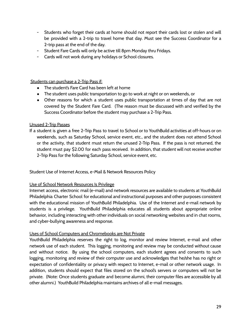- Students who forget their cards at home should not report their cards lost or stolen and will be provided with a 2-trip to travel home that day. Must see the Success Coordinator for a 2-trip pass at the end of the day.
- Student Fare Cards will only be active till 8pm Monday thru Fridays.
- Cards will not work during any holidays or School closures.

# Students can purchase a 2-Trip Pass if:

- The student's Fare Card has been left at home
- The student uses public transportation to go to work at night or on weekends, or
- Other reasons for which a student uses public transportation at times of day that are not covered by the Student Fare Card. (The reason must be discussed with and verified by the Success Coordinator before the student may purchase a 2-Trip Pass.

# Unused 2-Trip Passes

If a student is given a free 2-Trip Pass to travel to School or to YouthBuild activities at off-hours or on weekends, such as Saturday School, service event, etc., and the student does not attend School or the activity, that student must return the unused 2-Trip Pass. If the pass is not returned, the student must pay \$2.00 for each pass received. In addition, that student will not receive another 2-Trip Pass for the following Saturday School, service event, etc.

<span id="page-29-0"></span>Student Use of Internet Access, e-Mail & Network Resources Policy

# Use of School Network Resources Is Privilege

Internet access, electronic mail (e-mail) and network resources are available to students at YouthBuild Philadelphia Charter School for educational and instructional purposes and other purposes consistent with the educational mission of YouthBuild Philadelphia. Use of the Internet and e-mail network by students is a privilege. YouthBuild Philadelphia educates all students about appropriate online behavior, including interacting with other individuals on social networking websites and in chat rooms, and cyber-bullying awareness and response.

# Uses of School Computers and Chromebooks are Not Private

YouthBuild Philadelphia reserves the right to log, monitor and review Internet, e-mail and other network use of each student. This logging, monitoring and review may be conducted without cause and without notice. By using the school computers, each student agrees and consents to such logging, monitoring and review of their computer use and acknowledges that he/she has no right or expectation of confidentiality or privacy with respect to Internet, e-mail or other network usage. In addition, students should expect that files stored on the school's servers or computers will not be private. (Note: Once students graduate and become alumni, their computer files are accessible by all other alumni.) YouthBuild Philadelphia maintains archives of all e-mail messages.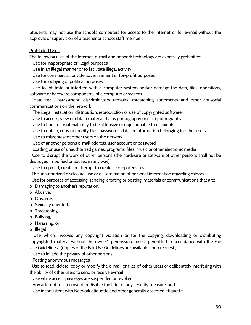Students may not use the school's computers for access to the Internet or for e-mail without the approval or supervision of a teacher or school staff member.

# Prohibited Uses

The following uses of the Internet, e-mail and network technology are expressly prohibited:

- · Use for inappropriate or illegal purposes
- · Use in an illegal manner or to facilitate illegal activity
- · Use for commercial, private advertisement or for-profit purposes
- · Use for lobbying or political purposes

· Use to infiltrate or interfere with a computer system and/or damage the data, files, operations, software or hardware components of a computer or system

· Hate mail, harassment, discriminatory remarks, threatening statements and other antisocial communications on the network

- · The illegal installation, distribution, reproduction or use of copyrighted software
- · Use to access, view or obtain material that is pornography or child pornography
- · Use to transmit material likely to be offensive or objectionable to recipients
- · Use to obtain, copy or modify files, passwords, data, or information belonging to other users
- · Use to misrepresent other users on the network
- · Use of another person's e-mail address, user account or password
- · Loading or use of unauthorized games, programs, files, music or other electronic media

· Use to disrupt the work of other persons (the hardware or software of other persons shall not be destroyed, modified or abused in any way)

- · Use to upload, create or attempt to create a computer virus
- · The unauthorized disclosure, use or dissemination of personal information regarding minors
- · Use for purposes of accessing, sending, creating or posting, materials or communications that are:
- o Damaging to another's reputation,
- o Abusive,
- o Obscene,
- o Sexually oriented,
- o Threatening,
- o Bullying,
- o Harassing, or
- o Illegal

· Use which involves any copyright violation or for the copying, downloading or distributing copyrighted material without the owner's permission, unless permitted in accordance with the Fair Use Guidelines. (Copies of the Fair Use Guidelines are available upon request.)

· Use to invade the privacy of other persons

· Posting anonymous messages

· Use to read, delete, copy or modify the e-mail or files of other users or deliberately interfering with the ability of other users to send or receive e-mail

- · Use while access privileges are suspended or revoked
- · Any attempt to circumvent or disable the filter or any security measure, and
- · Use inconsistent with Network etiquette and other generally accepted etiquette.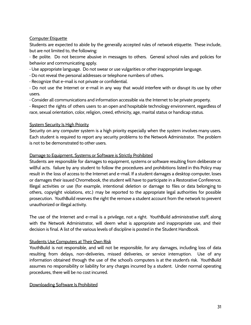# Computer Etiquette

Students are expected to abide by the generally accepted rules of network etiquette. These include, but are not limited to, the following:

· Be polite. Do not become abusive in messages to others. General school rules and policies for behavior and communicating apply.

· Use appropriate language. Do not swear or use vulgarities or other inappropriate language.

- · Do not reveal the personal addresses or telephone numbers of others.
- · Recognize that e-mail is not private or confidential.

· Do not use the Internet or e-mail in any way that would interfere with or disrupt its use by other users.

· Consider all communications and information accessible via the Internet to be private property.

· Respect the rights of others users to an open and hospitable technology environment, regardless of race, sexual orientation, color, religion, creed, ethnicity, age, marital status or handicap status.

# System Security Is High Priority

Security on any computer system is a high priority especially when the system involves many users. Each student is required to report any security problems to the Network Administrator. The problem is not to be demonstrated to other users.

# Damage to Equipment, Systems or Software is Strictly Prohibited

Students are responsible for damages to equipment, systems or software resulting from deliberate or willful acts. failure by any student to follow the procedures and prohibitions listed in this Policy may result in the loss of access to the Internet and e-mail. If a student damages a desktop computer, loses or damages their issued Chromebook, the student will have to participate in a Restorative Conference. Illegal activities or use (for example, intentional deletion or damage to files or data belonging to others, copyright violations, etc.) may be reported to the appropriate legal authorities for possible prosecution. YouthBuild reserves the right the remove a student account from the network to prevent unauthorized or illegal activity.

The use of the Internet and e-mail is a privilege, not a right. YouthBuild administrative staff, along with the Network Administrator, will deem what is appropriate and inappropriate use, and their decision is final. A list of the various levels of discipline is posted in the Student Handbook.

# Students Use Computers at Their Own Risk

YouthBuild is not responsible, and will not be responsible, for any damages, including loss of data resulting from delays, non-deliveries, missed deliveries, or service interruption. Use of any information obtained through the use of the school's computers is at the student's risk. YouthBuild assumes no responsibility or liability for any charges incurred by a student. Under normal operating procedures, there will be no cost incurred.

## Downloading Software Is Prohibited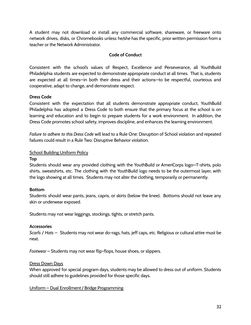A student may not download or install any commercial software, shareware, or freeware onto network drives, disks, or Chromebooks unless he/she has the specific, prior written permission from a teacher or the Network Administrator.

# **Code of Conduct**

<span id="page-32-0"></span>Consistent with the school's values of Respect, Excellence and Perseverance, all YouthBuild Philadelphia students are expected to demonstrate appropriate conduct at all times. That is, students are expected at all times—in both their dress and their actions—to be respectful, courteous and cooperative, adapt to change, and demonstrate respect.

# <span id="page-32-1"></span>**Dress Code**

Consistent with the expectation that all students demonstrate appropriate conduct, YouthBuild Philadelphia has adopted a Dress Code to both ensure that the primary focus at the school is on learning and education and to begin to prepare students for a work environment. In addition, the Dress Code promotes school safety, improves discipline, and enhances the learning environment.

*Failure to adhere to this Dress Code* will lead to a Rule One: Disruption of School violation and repeated failures could result in a Rule Two: Disruptive Behavior violation.

# School Building Uniform Policy

## **Top**

Students should wear any provided clothing with the YouthBuild or AmeriCorps logo—T-shirts, polo shirts, sweatshirts, etc. The clothing with the YouthBuild logo needs to be the outermost layer, with the logo showing at all times. Students may not alter the clothing, temporarily or permanently.

## **Bottom**

Students should wear pants, jeans, capris, or skirts (below the knee). Bottoms should not leave any skin or underwear exposed.

Students may not wear leggings, stockings, tights, or stretch pants.

## **Accessories**

*Scarfs / Hats* – Students may not wear do-rags, hats, jeff caps, etc. Religious or cultural attire must be neat.

*Footwear* – Students may not wear flip-flops, house shoes, or slippers.

## Dress Down Days

When approved for special program days, students may be allowed to dress out of uniform. Students should still adhere to guidelines provided for those specific days.

Uniform – Dual Enrollment / Bridge Programming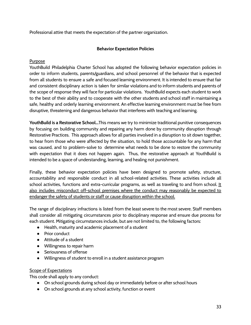<span id="page-33-0"></span>Professional attire that meets the expectation of the partner organization.

# **Behavior Expectation Policies**

# Purpose

YouthBuild Philadelphia Charter School has adopted the following behavior expectation policies in order to inform students, parents/guardians, and school personnel of the behavior that is expected from all students to ensure a safe and focused learning environment. It is intended to ensure that fair and consistent disciplinary action is taken for similar violations and to inform students and parents of the scope of response they will face for particular violations. YouthBuild expects each student to work to the best of their ability and to cooperate with the other students and school staff in maintaining a safe, healthy and orderly learning environment. An effective learning environment must be free from disruptive, threatening and dangerous behavior that interferes with teaching and learning.

**YouthBuild is a Restorative School...**This means we try to minimize traditional punitive consequences by focusing on building community and repairing any harm done by community disruption through Restorative Practices. This approach allows for all parties involved in a disruption to sit down together, to hear from those who were affected by the situation, to hold those accountable for any harm that was caused, and to problem-solve to determine what needs to be done to restore the community with expectation that it does not happen again. Thus, the restorative approach at YouthBuild is intended to be a space of understanding, learning, and healing not punishment.

Finally, these behavior expectation policies have been designed to promote safety, structure, accountability and responsible conduct in all school-related activities. These activities include all school activities, functions and extra-curricular programs, as well as traveling to and from school. It also includes misconduct off-school premises where the conduct may reasonably be expected to endanger the safety of students or staff or cause disruption within the school.

The range of disciplinary infractions is listed from the least severe to the most severe. Staff members shall consider all mitigating circumstances prior to disciplinary response and ensure due process for each student. Mitigating circumstances include, but are not limited to, the following factors:

- Health, maturity and academic placement of a student
- Prior conduct
- Attitude of a student
- Willingness to repair harm
- Seriousness of offense
- Willingness of student to enroll in a student assistance program

# Scope of Expectations

This code shall apply to any conduct:

- On school grounds during school day or immediately before or after school hours
- On school grounds at any school activity, function or event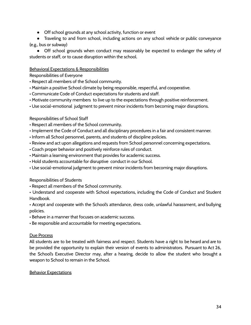- Off school grounds at any school activity, function or event
- Traveling to and from school, including actions on any school vehicle or public conveyance (e.g., bus or subway)

• Off school grounds when conduct may reasonably be expected to endanger the safety of students or staff, or to cause disruption within the school.

# Behavioral Expectations & Responsibilities

Responsibilities of Everyone

- Respect all members of the School community.
- Maintain a positive School climate by being responsible, respectful, and cooperative.
- Communicate Code of Conduct expectations for students and staff.
- Motivate community members to live up to the expectations through positive reinforcement.
- Use social-emotional judgment to prevent minor incidents from becoming major disruptions.

# Responsibilities of School Staff

- Respect all members of the School community.
- Implement the Code of Conduct and all disciplinary procedures in a fair and consistent manner.
- Inform all School personnel, parents, and students of discipline policies.
- Review and act upon allegations and requests from School personnel concerning expectations.
- Coach proper behavior and positively reinforce rules of conduct.
- Maintain a learning environment that provides for academic success.
- Hold students accountable for disruptive conduct in our School.
- Use social-emotional judgment to prevent minor incidents from becoming major disruptions.

## Responsibilities of Students

- Respect all members of the School community.
- Understand and cooperate with School expectations, including the Code of Conduct and Student Handbook.

• Accept and cooperate with the School's attendance, dress code, unlawful harassment, and bullying policies.

- Behave in a manner that focuses on academic success.
- Be responsible and accountable for meeting expectations.

## Due Process

All students are to be treated with fairness and respect. Students have a right to be heard and are to be provided the opportunity to explain their version of events to administrators. Pursuant to Act 26, the School's Executive Director may, after a hearing, decide to allow the student who brought a weapon to School to remain in the School.

## Behavior Expectations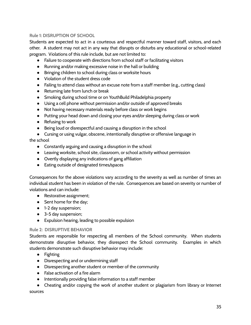# **Rule 1: DISRUPTION OF SCHOOL**

Students are expected to act in a courteous and respectful manner toward staff, visitors, and each other. A student may not act in any way that disrupts or disturbs any educational or school-related program. Violations of this rule include, but are not limited to:

- Failure to cooperate with directions from school staff or facilitating visitors
- Running and/or making excessive noise in the hall or building
- Bringing children to school during class or worksite hours
- Violation of the student dress code
- Failing to attend class without an excuse note from a staff member (e.g., cutting class)
- Returning late from lunch or break
- Smoking during school time or on YouthBuild Philadelphia property
- Using a cell phone without permission and/or outside of approved breaks
- Not having necessary materials ready before class or work begins
- Putting your head down and closing your eyes and/or sleeping during class or work
- Refusing to work
- Being loud or disrespectful and causing a disruption in the school
- Cursing or using vulgar, obscene, intentionally disruptive or offensive language in

the school

- Constantly arguing and causing a disruption in the school
- Leaving worksite, school site, classroom, or school activity without permission
- Overtly displaying any indications of gang affiliation
- Eating outside of designated times/spaces

Consequences for the above violations vary according to the severity as well as number of times an individual student has been in violation of the rule. Consequences are based on severity or number of violations and can include:

- Restorative assignment;
- Sent home for the day;
- 1-2 day suspension;
- 3-5 day suspension;
- Expulsion hearing, leading to possible expulsion

# **Rule 2: DISRUPTIVE BEHAVIOR**

Students are responsible for respecting all members of the School community. When students demonstrate disruptive behavior, they disrespect the School community. Examples in which students demonstrate such disruptive behavior may include:

- Fighting
- Disrespecting and or undermining staff
- Disrespecting another student or member of the community
- False activation of a fire alarm
- Intentionally providing false information to a staff member
- Cheating and/or copying the work of another student or plagiarism from library or Internet sources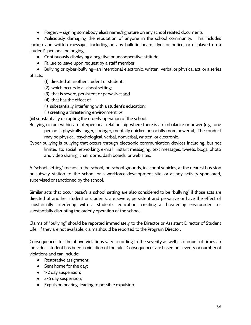● Forgery – signing somebody else's name/signature on any school related documents

● Maliciously damaging the reputation of anyone in the school community. This includes spoken and written messages including on any bulletin board, flyer or notice, or displayed on a student's personal belongings

- Continuously displaying a negative or uncooperative attitude
- Failure to leave upon request by a staff member

● Bullying or cyber-bullying—an intentional electronic, written, verbal or physical act, or a series of acts:

- (1) directed at another student or students;
- (2) which occurs in a school setting;
- (3) that is severe, persistent or pervasive; and
- (4) that has the effect of --
- (i) substantially interfering with a student's education;
- (ii) creating a threatening environment; *or*

(iii) substantially disrupting the orderly operation of the school.

Bullying occurs within an interpersonal relationship where there is an imbalance or power (e.g., one person is physically larger, stronger, mentally quicker, or socially more powerful). The conduct may be physical, psychological, verbal, nonverbal, written, or electronic.

Cyber-bullying is bullying that occurs through electronic communication devices including, but not limited to, social networking, e-mail, instant messaging, text messages, tweets, blogs, photo and video sharing, chat rooms, dash boards, or web sites.

A "school setting" means in the school, on school grounds, in school vehicles, at the nearest bus stop or subway station to the school or a workforce-development site, or at any activity sponsored, supervised or sanctioned by the school.

Similar acts that occur *outside* a school setting are also considered to be "bullying" if those acts are directed at another student or students, are severe, persistent and pervasive or have the effect of substantially interfering with a student's education, creating a threatening environment or substantially disrupting the orderly operation of the school.

Claims of "bullying" should be reported immediately to the Director or Assistant Director of Student Life. If they are not available, claims should be reported to the Program Director.

Consequences for the above violations vary according to the severity as well as number of times an individual student has been in violation of the rule. Consequences are based on severity or number of violations and can include:

- Restorative assignment;
- Sent home for the day;
- 1-2 day suspension;
- 3-5 day suspension;
- Expulsion hearing, leading to possible expulsion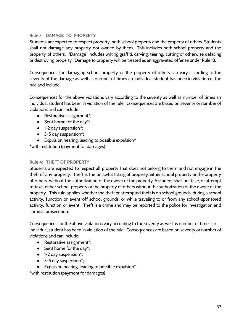## **Rule 3: DAMAGE TO PROPERTY**

Students are expected to respect property, both school property and the property of others. Students shall not damage any property not owned by them. This includes both school property and the property of others. "Damage" includes writing graffiti, carving, tearing, cutting or otherwise defacing or destroying property. Damage to property will be treated as an aggravated offense under Rule 13.

Consequences for damaging school property or the property of others can vary according to the severity of the damage as well as number of times an individual student has been in violation of the rule and include:

Consequences for the above violations vary according to the severity as well as number of times an individual student has been in violation of the rule. Consequences are based on severity or number of violations and can include:

- Restorative assignment<sup>\*</sup>:
- $\bullet$  Sent home for the day\*;
- 1-2 day suspension\*;
- 3-5 day suspension<sup>\*</sup>;
- $\bullet$  Expulsion hearing, leading to possible expulsion\*

\*with restitution (payment for damages)

#### **Rule 4: THEFT OF PROPERTY**

Students are expected to respect all property that does not belong to them and not engage in the theft of any property. Theft is the unlawful taking of property, either school property or the property of others, without the authorization of the owner of the property. A student shall not take, or attempt to take, either school property or the property of others without the authorization of the owner of the property. This rule applies whether the theft or attempted theft is on school grounds, during a school activity, function or event off school grounds, or while traveling to or from any school-sponsored activity, function or event. Theft is a crime and may be reported to the police for investigation and criminal prosecution.

Consequences for the above violations vary according to the severity as well as number of times an individual student has been in violation of the rule. Consequences are based on severity or number of violations and can include:

- Restorative assignment<sup>\*</sup>;
- Sent home for the day\*;
- 1-2 day suspension\*;
- 3-5 day suspension<sup>\*</sup>;
- $\bullet$  Expulsion hearing, leading to possible expulsion\*

\*with restitution (payment for damages)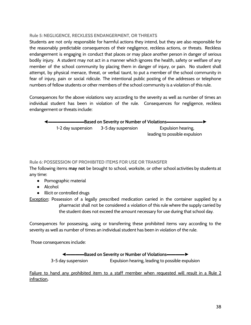## **Rule 5: NEGLIGENCE, RECKLESS ENDANGERMENT, OR THREATS**

Students are not only responsible for harmful actions they intend, but they are also responsible for the reasonably predictable consequences of their negligence, reckless actions, or threats. Reckless endangerment is engaging in conduct that places or may place another person in danger of serious bodily injury. A student may not act in a manner which ignores the health, safety or welfare of any member of the school community by placing them in danger of injury, or pain. No student shall attempt, by physical menace, threat, or verbal taunt, to put a member of the school community in fear of injury, pain or social ridicule. The intentional public posting of the addresses or telephone numbers of fellow students or other members of the school community is a violation of this rule.

Consequences for the above violations vary according to the severity as well as number of times an individual student has been in violation of the rule. Consequences for negligence, reckless endangerment or threats include:

 $\equiv$ **Based on Severity or Number of Violations** 1-2 day suspension 3-5 day suspension Expulsion hearing, leading to possible expulsion

# **Rule 6: POSSESSION OF PROHIBITED ITEMS FOR USE OR TRANSFER**

The following items **may not** be brought to school, worksite, or other school activities by students at any time:

- Pornographic material
- Alcohol
- Illicit or controlled drugs

Exception: Possession of a legally prescribed medication carried in the container supplied by a pharmacist shall not be considered a violation of this rule where the supply carried by the student does not exceed the amount necessary for use during that school day.

Consequences for possessing, using or transferring these prohibited items vary according to the severity as well as number of times an individual student has been in violation of the rule.

Those consequences include:

◄▬▬▬▬**Based on Severity or Number of Violations**▬▬▬▬► 3-5 day suspension Expulsion hearing, leading to possible expulsion

Failure to hand any prohibited item to a staff member when requested will result in a Rule 2 infraction**.**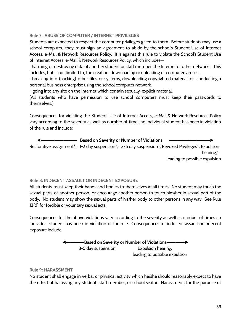## **Rule 7: ABUSE OF COMPUTER / INTERNET PRIVILEGES**

Students are expected to respect the computer privileges given to them. Before students may use a school computer, they must sign an agreement to abide by the school's Student Use of Internet Access, e-Mail & Network Resources Policy. It is against this rule to violate the School's Student Use of Internet Access, e-Mail & Network Resources Policy, which includes—

· harming or destroying data of another student or staff member, the Internet or other networks. This includes, but is not limited to, the creation, downloading or uploading of computer viruses.

· breaking into (hacking) other files or systems, downloading copyrighted material, or conducting a personal business enterprise using the school computer network.

· going into any site on the Internet which contain sexually-explicit material.

(All students who have permission to use school computers must keep their passwords to themselves.)

Consequences for violating the Student Use of Internet Access, e-Mail & Network Resources Policy vary according to the severity as well as number of times an individual student has been in violation of the rule and include:

◄▬▬▬▬▬▬▬▬ **Based on Severity or Number of Violations** ▬▬▬▬▬▬▬▬▬► Restorative assignment\*; 1-2 day suspension\*; 3-5 day suspension\*; Revoked Privileges\*; Expulsion hearing,\* leading to possible expulsion

## **Rule 8: INDECENT ASSAULT OR INDECENT EXPOSURE**

All students must keep their hands and bodies to themselves at all times. No student may touch the sexual parts of another person, or encourage another person to touch him/her in sexual part of the body. No student may show the sexual parts of his/her body to other persons in any way. See Rule 13(d) for forcible or voluntary sexual acts.

Consequences for the above violations vary according to the severity as well as number of times an individual student has been in violation of the rule. Consequences for indecent assault or indecent exposure include:

> ◄▬▬▬▬**Based on Severity or Number of Violations**▬▬▬▬► 3-5 day suspension Expulsion hearing, leading to possible expulsion

#### **Rule 9: HARASSMENT**

No student shall engage in verbal or physical activity which he/she should reasonably expect to have the effect of harassing any student, staff member, or school visitor. Harassment, for the purpose of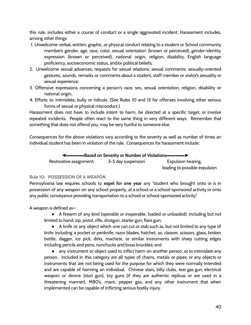this rule, includes either a course of conduct or a single aggravated incident. Harassment includes, among other things:

- 1. Unwelcome verbal, written, graphic, or physical conduct relating to a student or School community member's gender, age, race, color, sexual orientation (known or perceived), gender-identity expression (known or perceived), national origin, religion, disability, English language proficiency, socioeconomic status, and/or political beliefs;
- 2. Unwelcome sexual advances; requests for sexual relations; sexual comments; sexually-oriented gestures, sounds, remarks or comments about a student, staff member or visitor's sexuality or sexual experience;
- 3. Offensive expressions concerning a person's race, sex, sexual orientation, religion, disability or national origin,
- 4. Efforts to intimidate, bully or ridicule. (See Rules 10 and 13 for offenses involving other serious forms of sexual or physical misconduct.)

Harassment does not have to include intent to harm, be directed at a specific target, or involve repeated incidents. People often react to the same thing in very different ways. Remember that something that does not offend you, may be very hurtful to someone else.

Consequences for the above violations vary according to the severity as well as number of times an individual student has been in violation of the rule. Consequences for harassment include:

 $\equiv$ Based on Severity or Number of Violations—

Restorative assignment; 3-5 day suspension Expulsion hearing, leading to possible expulsion

# **Rule 10: POSSESSION OF A WEAPON**

Pennsylvania law requires schools to **expel for one year** any "student who brought onto or is in possession of any weapon on any school property, at a school or a school-sponsored activity or onto any public conveyance providing transportation to a school or school-sponsored activity."

A weapon is defined as—

● A firearm of any kind (operable or inoperable, loaded or unloaded): including but not limited to hand, zip, pistol, rifle, shotgun, starter gun, flare gun;

● A knife or any object which one can cut or stab such as, but not limited to any type of knife including a pocket or penknife, razor blades, hatchet, ax, cleaver, scissors, glass, broken bottle, dagger, ice pick, dirks, machete, or similar instruments with sharp cutting edges including pencils and pens, nunchucks and brass knuckles; and

● any instrument or object used to inflict harm on another person, or to intimidate any person. Included in this category are all types of chains, metals or pipes, or any objects or instruments that are not being used for the purpose for which they were normally intended and are capable of harming an individual. Chinese stars, billy clubs, tear gas gun, electrical weapon or device (stun gun), toy guns (if they are authentic replicas or are used in a threatening manner), M80's, mace, pepper gas, and any other instrument that when implemented can be capable of inflicting serious bodily injury.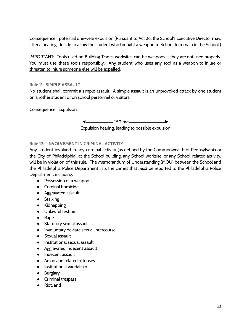Consequence: potential one-year expulsion (Pursuant to Act 26, the School's Executive Director may, after a hearing, decide to allow the student who brought a weapon to School to remain in the School.)

IMPORTANT: Tools used on Building Trades worksites can be weapons if they are not used properly. You must use these tools responsibly. Any student who uses any tool as a weapon to injure or threaten to injure someone else will be expelled.

## **Rule 11: SIMPLE ASSAULT**

No student shall commit a simple assault. A simple assault is an unprovoked attack by one student on another student or on school personnel or visitors.

Consequence: Expulsion.

◄▬▬▬▬▬▬ **1 st Time**▬▬▬▬▬▬▬▬►

Expulsion hearing, leading to possible expulsion

# **Rule 12: INVOLVEMENT IN CRIMINAL ACTIVITY**

Any student involved in any criminal activity (as defined by the Commonwealth of Pennsylvania or the City of Philadelphia) at the School building, any School worksite, or any School-related activity, will be in violation of this rule. The Memorandum of Understanding (MOU) between the School and the Philadelphia Police Department lists the crimes that *must* be reported to the Philadelphia Police Department, including:

- Possession of a weapon
- Criminal homicide
- Aggravated assault
- Stalking
- Kidnapping
- Unlawful restraint
- Rape
- Statutory sexual assault
- Involuntary deviate sexual intercourse
- Sexual assault
- Institutional sexual assault
- Aggravated indecent assault
- Indecent assault
- Arson and related offenses
- Institutional vandalism
- Burglary
- Criminal trespass
- Riot, and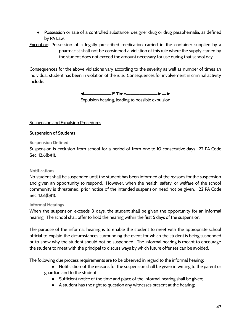● Possession or sale of a controlled substance, designer drug or drug paraphernalia, as defined by PA Law.

**Exception:** Possession of a legally prescribed medication carried in the container supplied by a pharmacist shall not be considered a violation of this rule where the supply carried by the student does not exceed the amount necessary for use during that school day.

Consequences for the above violations vary according to the severity as well as number of times an individual student has been in violation of the rule. Consequences for involvement in criminal activity include:

◄▬▬▬▬▬▬**1 st Time**▬▬▬▬▬▬▬►▬►

Expulsion hearing, leading to possible expulsion

# <span id="page-42-0"></span>Suspension and Expulsion Procedures

<span id="page-42-1"></span>**Suspension of Students**

# **Suspension Defined**

Suspension is exclusion from school for a period of from one to 10 consecutive days. 22 PA Code Sec. 12.6(b)(1).

# **Notifications**

No student shall be suspended until the student has been informed of the reasons for the suspension and given an opportunity to respond. However, when the health, safety, or welfare of the school community is threatened, prior notice of the intended suspension need not be given. 22 PA Code Sec. 12.6(b)(1).

# **Informal Hearings**

When the suspension exceeds 3 days, the student shall be given the opportunity for an informal hearing. The school shall offer to hold the hearing within the first 5 days of the suspension.

The purpose of the informal hearing is to enable the student to meet with the appropriate school official to explain the circumstances surrounding the event for which the student is being suspended or to show why the student should not be suspended. The informal hearing is meant to encourage the student to meet with the principal to discuss ways by which future offenses can be avoided.

The following due process requirements are to be observed in regard to the informal hearing:

- Notification of the reasons for the suspension shall be given in writing to the parent or guardian and to the student;
	- Sufficient notice of the time and place of the informal hearing shall be given;
	- A student has the right to question any witnesses present at the hearing;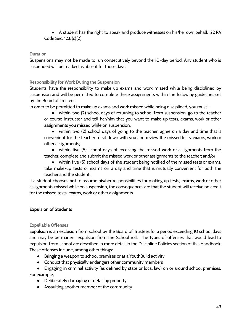● A student has the right to speak and produce witnesses on his/her own behalf. 22 PA Code Sec. 12.8(c)(2).

# **Duration**

Suspensions may not be made to run consecutively beyond the 10-day period. Any student who is suspended will be marked as absent for those days.

# **Responsibility for Work During the Suspension**

Students have the responsibility to make up exams and work missed while being disciplined by suspension and will be permitted to complete these assignments within the following guidelines set by the Board of Trustees:

In order to be permitted to make up exams and work missed while being disciplined, you must—

● within two (2) school days of returning to school from suspension, go to the teacher or course instructor and tell her/him that you want to make up tests, exams, work or other assignments you missed while on suspension,

● within two (2) school days of going to the teacher, agree on a day and time that is convenient for the teacher to sit down with you and review the missed tests, exams, work or other assignments;

● within five (5) school days of receiving the missed work or assignments from the teacher, complete and submit the missed work or other assignments to the teacher; and/or

● within five (5) school days of the student being notified of the missed tests or exams, take make-up tests or exams on a day and time that is mutually convenient for both the teacher and the student.

If a student chooses **not** to assume his/her responsibilities for making up tests, exams, work or other assignments missed while on suspension, the consequences are that the student will receive no credit for the missed tests, exams, work or other assignments.

# <span id="page-43-0"></span>**Expulsion of Students**

## **Expellable Offenses**

Expulsion is an exclusion from school by the Board of Trustees for a period exceeding 10 school days and may be permanent expulsion from the School roll. The types of offenses that would lead to expulsion from school are described in more detail in the Discipline Policies section of this Handbook. These offenses include, among other things:

- Bringing a weapon to school premises or at a YouthBuild activity
- Conduct that physically endangers other community members

● Engaging in criminal activity (as defined by state or local law) on or around school premises. For example,

- Deliberately damaging or defacing property
- Assaulting another member of the community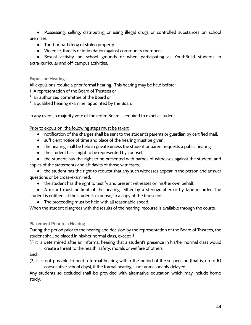● Possessing, selling, distributing or using illegal drugs or controlled substances on school premises

- Theft or trafficking of stolen property
- Violence, threats or intimidation against community members

● Sexual activity on school grounds or when participating as YouthBuild students in extra-curricular and off-campus activities.

# **Expulsion Hearings**

All expulsions require a prior formal hearing. This hearing may be held before:

- § A representation of the Board of Trustees or
- § an authorized committee of the Board or
- § a qualified hearing examiner appointed by the Board.

In any event, a majority vote of the entire Board is required to expel a student.

# Prior to expulsion, the following steps must be taken:

- notification of the charges shall be sent to the student's parents or guardian by certified mail,
- sufficient notice of time and place of the hearing must be given,
- the hearing shall be held in private unless the student or parent requests a public hearing,
- the student has a right to be represented by counsel,

• the student has the right to be presented with names of witnesses against the student, and copies of the statements and affidavits of those witnesses,

• the student has the right to request that any such witnesses appear in the person and answer questions or be cross-examined,

● the student has the right to testify and present witnesses on his/her own behalf,

● A record must be kept of the hearing, either by a stenographer or by tape recorder. The student is entitled, at the student's expense, to a copy of the transcript;

● The proceeding must be held with all reasonable speed.

When the student disagrees with the results of the hearing, recourse is available through the courts.

## **Placement Prior to a Hearing**

During the period prior to the hearing and decision by the representation of the Board of Trustees, the student shall be placed in his/her normal class, except if—

(1) it is determined after an informal hearing that a student's presence in his/her normal class would create a threat to the health, safety, morals or welfare of others

## **and**

(2) it is not possible to hold a formal hearing within the period of the suspension (that is, up to 10 consecutive school days), if the formal hearing is not unreasonably delayed.

Any students so excluded shall be provided with alternative education which may include home study.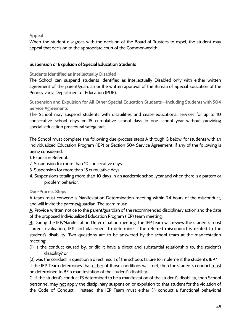**Appeal**

When the student disagrees with the decision of the Board of Trustees to expel, the student may appeal that decision to the appropriate court of the Commonwealth.

# <span id="page-45-0"></span>**Suspension or Expulsion of Special Education Students**

**Students Identified as Intellectually Disabled**

The School can suspend students identified as Intellectually Disabled only with either written agreement of the parent/guardian or the written approval of the Bureau of Special Education of the Pennsylvania Department of Education (PDE).

**Suspension and Expulsion for All Other Special Education Students–-Including Students with 504 Service Agreements**

The School may suspend students with disabilities and cease educational services for up to 10 consecutive school days or 15 cumulative school days in one school year without providing special-education procedural safeguards.

The School must complete the following due-process steps A through G below, for students with an Individualized Education Program (IEP) or Section 504 Service Agreement, if any of the following is being considered:

- 1. Expulsion Referral.
- 2. Suspension for more than 10 consecutive days.
- 3. Suspension for more than 15 cumulative days.
- 4. Suspensions totaling more than 10 days in an academic school year and when there is a pattern or problem behavior.

# **Due-Process Steps**

A team must convene a Manifestation Determination meeting within 24 hours of the misconduct, and will invite the parents/guardian. The team must:

A. Provide written notice to the parent/guardian of the recommended disciplinary action and the date of the proposed Individualized Education Program (IEP) team meeting.

B. During the IEP/Manifestation Determination meeting, the IEP team will review the student's most current evaluation, IEP and placement to determine if the referred misconduct is related to the student's disability. Two questions are to be answered by the school team at the manifestation meeting:

(1) is the conduct caused by, or did it have a direct and substantial relationship to, the student's disability? or

(2) was the conduct in question a direct result of the school's failure to implement the student's IEP? If the IEP Team determines that either of those conditions was met, then the student's conduct must be determined to BE a manifestation of the student's disability.

C. If the student's conduct IS determined to be a manifestation of the student's disability, then School personnel may not apply the disciplinary suspension or expulsion to that student for the violation of the Code of Conduct. Instead, the IEP Team must either (1) conduct a functional behavioral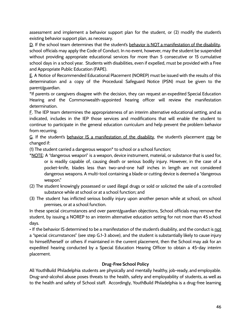assessment and implement a behavior support plan for the student, or (2) modify the student's existing behavior support plan, as necessary.

D. If the school team determines that the student's behavior is NOT a manifestation of the disability, school officials may apply the Code of Conduct. In no event, however, may the student be suspended without providing appropriate educational services for more than 5 consecutive or 15 cumulative school days in a school year. Students with disabilities, even if expelled, must be provided with a Free and Appropriate Public Education (FAPE).

E. A Notice of Recommended Educational Placement (NOREP) must be issued with the results of this determination and a copy of the Procedural Safeguard Notice (PSN) must be given to the parent/guardian.

\*If parents or caregivers disagree with the decision, they can request an expedited Special Education Hearing and the Commonwealth-appointed hearing officer will review the manifestation determination.

F. The IEP team determines the appropriateness of an interim alternative educational setting, and as indicated, includes in the IEP those services and modifications that will enable the student to continue to participate in the general education curriculum and help prevent the problem behavior from recurring.

G. If the student's behavior IS a manifestation of the disability, the student's placement may be changed if:

(1) The student carried a dangerous weapon\* to school or a school function;

- \*NOTE: A "dangerous weapon" is a weapon, device instrument, material, or substance that is used for, or is readily capable of, causing death or serious bodily injury. However, in the case of a pocket-knife, blades less than two-and-one half inches in length are not considered dangerous weapons. A multi-tool containing a blade or cutting device is deemed a "dangerous weapon."
- (2) The student knowingly possessed or used illegal drugs or sold or solicited the sale of a controlled substance while at school or at a school function; and
- (3) The student has inflicted serious bodily injury upon another person while at school, on school premises, or at a school function.

In these special circumstances and over parent/guardian objections, School officials may remove the student, by issuing a NOREP to an interim alternative education setting for not more than 45 school days.

• If the behavior IS determined to be a manifestation of the student's disability, and the conduct is not a "special circumstances" (see step G.1-3 above), and the student is substantially likely to cause injury to himself/herself or others if maintained in the current placement, then the School may ask for an expedited hearing conducted by a Special Education Hearing Officer to obtain a 45-day interim placement.

# **Drug-Free School Policy**

<span id="page-46-0"></span>All YouthBuild Philadelphia students are physically and mentally healthy, job-ready, and employable. Drug-and-alcohol abuse poses threats to the health, safety and employability of students, as well as to the health and safety of School staff. Accordingly, YouthBuild Philadelphia is a drug-free learning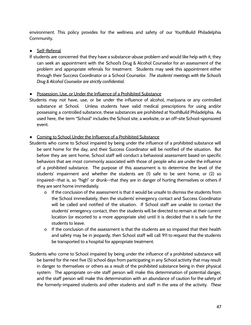environment. This policy provides for the wellness and safety of our YouthBuild Philadelphia Community.

# ● Self-Referral

If students are concerned that they have a substance-abuse problem and would like help with it, they can seek an appointment with the School's Drug & Alcohol Counselor for an assessment of the problem and appropriate referrals for treatment. Students may seek this appointment either through their Success Coordinator or a School Counselor. *The students' meetings with the School's Drug & Alcohol Counselor are strictly confidential.*

# ● Possession, Use, or Under the Influence of a Prohibited Substance

Students may not have, use, or be under the influence of alcohol, marijuana or any controlled substance at School. Unless students have valid medical prescriptions for using and/or possessing a controlled substance, these substances are prohibited at YouthBuild Philadelphia. As used here, the term "School" includes the School site, a worksite, or an off-site School-sponsored event.

# ● Coming to School Under the Influence of a Prohibited Substance

- Students who come to School impaired by being under the influence of a prohibited substance will be sent home for the day, and their Success Coordinator will be notified of the situation. But before they are sent home, School staff will conduct a behavioral assessment based on specific behaviors that are most commonly associated with those of people who are under the influence of a prohibited substance. The purpose of this assessment is to determine the level of the students' impairment and whether the students are (1) safe to be sent home, or (2) so impaired--that is, so "high" or drunk--that they are in danger of hurting themselves or others if they are sent home immediately.
	- o If the conclusion of the assessment is that it would be unsafe to dismiss the students from the School immediately, then the students' emergency contact and Success Coordinator will be called and notified of the situation. If School staff are unable to contact the students' emergency contact, then the students will be directed to remain at their current location (or escorted to a more appropriate site) until it is decided that it is safe for the students to leave.
	- o If the conclusion of the assessment is that the students are so impaired that their health and safety may be in jeopardy, then School staff will call 911 to request that the students be transported to a hospital for appropriate treatment.
- Students who come to School impaired by being under the influence of a prohibited substance will be barred for the next five (5) school days from participating in any School activity that may result in danger to themselves or others as a result of the prohibited substance being in their physical system. The appropriate on-site staff person will make this determination of potential danger, and the staff person will make this determination with an abundance of caution for the safety of the formerly-impaired students and other students and staff in the area of the activity. *These*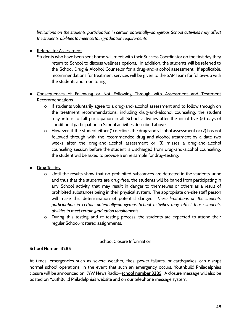*limitations on the students' participation in certain potentially-dangerous School activities may affect the students' abilities to meet certain graduation requirements.*

# ● Referral for Assessment

- Students who have been sent home will meet with their Success Coordinator on the first day they return to School to discuss wellness options. In addition, the students will be referred to the School Drug & Alcohol Counselor for a drug-and-alcohol assessment. If applicable, recommendations for treatment services will be given to the SAP Team for follow-up with the students and monitoring.
- Consequences of Following or Not Following Through with Assessment and Treatment **Recommendations** 
	- o If students voluntarily agree to a drug-and-alcohol assessment and to follow through on the treatment recommendations, including drug-and-alcohol counseling, the student may return to full participation in all School activities after the initial five (5) days of conditional participation in School activities described above.
	- o However, if the student either (1) declines the drug-and-alcohol assessment or (2) has not followed through with the recommended drug-and-alcohol treatment by a date two weeks after the drug-and-alcohol assessment or (3) misses a drug-and-alcohol counseling session before the student is discharged from drug-and-alcohol counseling, the student will be asked to provide a urine sample for drug-testing.
- **Drug Testing** 
	- o Until the results show that no prohibited substances are detected in the students' urine and thus that the students are drug-free, the students will be barred from participating in any School activity that may result in danger to themselves or others as a result of prohibited substances being in their physical system. The appropriate on-site staff person will make this determination of potential danger. *These limitations on the students' participation in certain potentially-dangerous School activities may affect those students' abilities to meet certain graduation requirements.*
	- o During this testing and re-testing process, the students are expected to attend their regular School-rostered assignments.

# School Closure Information

# <span id="page-48-0"></span>**School Number 3285**

At times, emergencies such as severe weather, fires, power failures, or earthquakes, can disrupt normal school operations. In the event that such an emergency occurs, Youthbuild Philadelphia's closure will be announced on KYW News Radio—**school number 3285**. A closure message will also be posted on YouthBuild Philadelphia's website and on our telephone message system.